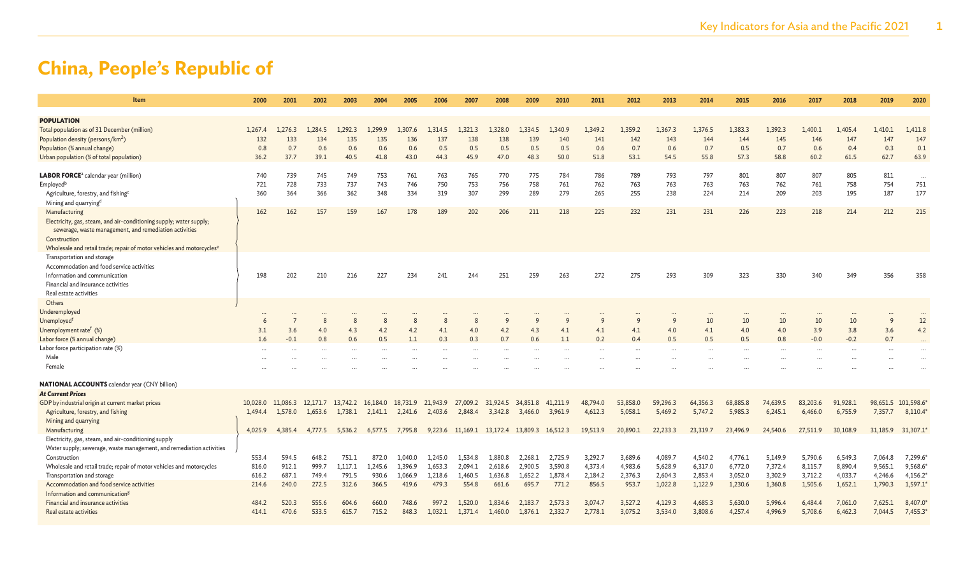| <b>Item</b>                                                                       | 2000     | 2001     | 2002     | 2003     | 2004     | 2005            | 2006                 | 2007                      | 2008     | 2009     | 2010                 | 2011      | 2012      | 2013      | 2014     | 2015     | 2016      | 2017                 | 2018     | 2019         | 2020      |
|-----------------------------------------------------------------------------------|----------|----------|----------|----------|----------|-----------------|----------------------|---------------------------|----------|----------|----------------------|-----------|-----------|-----------|----------|----------|-----------|----------------------|----------|--------------|-----------|
| <b>POPULATION</b>                                                                 |          |          |          |          |          |                 |                      |                           |          |          |                      |           |           |           |          |          |           |                      |          |              |           |
| Total population as of 31 December (million)                                      | 1,267.4  | 1.276.3  | 1.284.5  | ,292.3   | .299.9   | 1.307.6         | 1.314.5              | 1,321.3                   | 1,328.0  | 1.334.5  | 1.340.9              | 1,349.2   | 1,359.2   | 1,367.3   | 1,376.5  | 1,383.3  | 1,392.3   | 1,400.1              | 1,405.4  | 1,410.1      | 1,411.8   |
| Population density (persons/km <sup>2</sup> )                                     | 132      | 133      | 134      | 135      | 135      | 136             | 137                  | 138                       | 138      | 139      | 140                  | 141       | 142       | 143       | 144      | 144      | 145       | 146                  | 147      | 147          | 147       |
| Population (% annual change)                                                      | 0.8      | 0.7      | 0.6      | 0.6      | 0.6      | 0.6             | 0.5                  | 0.5                       | 0.5      | 0.5      | 0.5                  | 0.6       | 0.7       | 0.6       | 0.7      | 0.5      | 0.7       | 0.6                  | 0.4      | 0.3          | 0.1       |
| Urban population (% of total population)                                          | 36.2     | 37.7     | 39.1     | 40.5     | 41.8     | 43.0            | 44.3                 | 45.9                      | 47.0     | 48.3     | 50.0                 | 51.8      | 53.1      | 54.5      | 55.8     | 57.3     | 58.8      | 60.2                 | 61.5     | 62.7         | 63.9      |
|                                                                                   |          |          |          |          |          |                 |                      |                           |          |          |                      |           |           |           |          |          |           |                      |          |              |           |
| <b>LABOR FORCE</b> ª calendar year (million)                                      | 740      | 739      | 745      | 749      | 753      | 761             | 763                  | 765                       | 770      | 775      | 784                  | 786       | 789       | 793       | 797      | 801      | 807       | 807                  | 805      | 811          | $\ddotsc$ |
| Employed <sup>b</sup>                                                             | 721      | 728      | 733      | 737      | 743      | 746             | 750                  | 753                       | 756      | 758      | 761                  | 762       | 763       | 763       | 763      | 763      | 762       | 761                  | 758      | 754          | 751       |
| Agriculture, forestry, and fishing <sup>c</sup>                                   | 360      | 364      | 366      | 362      | 348      | 334             | 319                  | 307                       | 299      | 289      | 279                  | 265       | 255       | 238       | 224      | 214      | 209       | 203                  | 195      | 187          | 177       |
| Mining and quarrying <sup>d</sup>                                                 |          |          |          |          |          |                 |                      |                           |          |          |                      |           |           |           |          |          |           |                      |          |              |           |
| Manufacturing                                                                     | 162      | 162      | 157      | 159      | 167      | 178             | 189                  | 202                       | 206      | 211      | 218                  | 225       | 232       | 231       | 231      | 226      | 223       | 218                  | 214      | 212          | 215       |
| Electricity, gas, steam, and air-conditioning supply; water supply;               |          |          |          |          |          |                 |                      |                           |          |          |                      |           |           |           |          |          |           |                      |          |              |           |
| sewerage, waste management, and remediation activities                            |          |          |          |          |          |                 |                      |                           |          |          |                      |           |           |           |          |          |           |                      |          |              |           |
| Construction                                                                      |          |          |          |          |          |                 |                      |                           |          |          |                      |           |           |           |          |          |           |                      |          |              |           |
| Wholesale and retail trade; repair of motor vehicles and motorcycles <sup>e</sup> |          |          |          |          |          |                 |                      |                           |          |          |                      |           |           |           |          |          |           |                      |          |              |           |
| Transportation and storage                                                        |          |          |          |          |          |                 |                      |                           |          |          |                      |           |           |           |          |          |           |                      |          |              |           |
| Accommodation and food service activities                                         |          |          |          |          |          |                 |                      |                           |          |          |                      |           |           |           |          |          |           |                      |          |              |           |
| Information and communication                                                     | 198      | 202      | 210      | 216      | 227      | 234             | 241                  | 244                       | 251      | 259      | 263                  | 272       | 275       | 293       | 309      | 323      | 330       | 340                  | 349      | 356          | 358       |
| Financial and insurance activities                                                |          |          |          |          |          |                 |                      |                           |          |          |                      |           |           |           |          |          |           |                      |          |              |           |
| Real estate activities                                                            |          |          |          |          |          |                 |                      |                           |          |          |                      |           |           |           |          |          |           |                      |          |              |           |
| Others                                                                            |          |          |          |          |          |                 |                      |                           |          |          |                      |           |           |           |          |          |           |                      |          |              |           |
| Underemployed                                                                     |          |          |          |          |          |                 |                      |                           |          |          |                      |           |           |           |          |          |           |                      |          |              |           |
| Unemployed <sup>f</sup>                                                           |          |          | 8        | 8        | 8        | 8               | 8                    | 8                         | 9        | q        | q                    | q         | 9         | q         | 10       | 10       | 10        | 10                   | 10       | $\mathsf{q}$ | 12        |
| Unemployment rate <sup>f</sup> (%)                                                | 3.1      | 3.6      | 4.0      | 4.3      | 4.2      | 4.2             | 4.1                  | 4.0                       | 4.2      | 4.3      | 4.1                  | 4.1       | 4.1       | 4.0       | 4.1      | 4.0      | 4.0       | 3.9                  | 3.8      | 3.6          | 4.2       |
| Labor force (% annual change)                                                     | 1.6      | $-0.1$   | 0.8      | 0.6      | 0.5      | 1.1             | 0.3                  | 0.3                       | 0.7      | 0.6      | 1.1                  | 0.2       | 0.4       | 0.5       | 0.5      | 0.5      | 0.8       | $-0.0$               | $-0.2$   | 0.7          |           |
| Labor force participation rate (%)                                                |          |          |          |          |          | $\ddotsc$       | $\ddot{\phantom{a}}$ | $\cdots$                  | $\cdots$ |          | $\ddot{\phantom{a}}$ | $\ddotsc$ | $\ddotsc$ | $\ddotsc$ | $\cdots$ |          | $\ddotsc$ | $\ddot{\phantom{a}}$ | $\ddots$ |              |           |
| Male                                                                              |          |          |          |          |          |                 |                      |                           |          |          |                      |           |           |           |          |          |           |                      |          |              |           |
| Female                                                                            |          |          |          |          |          |                 |                      |                           |          |          |                      |           |           |           |          |          |           |                      |          |              |           |
| <b>NATIONAL ACCOUNTS</b> calendar year (CNY billion)                              |          |          |          |          |          |                 |                      |                           |          |          |                      |           |           |           |          |          |           |                      |          |              |           |
| <b>At Current Prices</b>                                                          |          |          |          |          |          |                 |                      |                           |          |          |                      |           |           |           |          |          |           |                      |          |              |           |
| GDP by industrial origin at current market prices                                 | 10,028.0 | 11,086.3 | 12.171.7 | 13,742.2 | 16.184.0 | 18,731.9        | 21,943.9             | 27,009.2                  | 31,924.5 | 34,851.8 | 41,211.9             | 48,794.0  | 53,858.0  | 59,296.3  | 64,356.3 | 68,885.8 | 74,639.5  | 83,203.6             | 91,928.1 | 98,651.5     | 101,598.6 |
| Agriculture, forestry, and fishing                                                | 1,494.4  | 1.578.0  | 1.653.6  | 1.738.1  |          | 2,141.1 2,241.6 | 2,403.6              | 2.848.4                   | 3.342.8  | 3,466.0  | 3,961.9              | 4,612.3   | 5,058.1   | 5,469.2   | 5,747.2  | 5,985.3  | 6,245.1   | 6,466.0              | 6,755.9  | 7,357.7      | 8,110.4   |
| Mining and quarrying                                                              |          |          |          |          |          |                 |                      |                           |          |          |                      |           |           |           |          |          |           |                      |          |              |           |
| Manufacturing                                                                     | 4,025.9  | 4,385.4  | 4,777.5  | 5.536.2  | 6,577.5  | 7,795.8         |                      | 9,223.6 11,169.1 13,172.4 |          | 13,809.3 | 16,512.3             | 19,513.9  | 20,890.1  | 22,233.3  | 23,319.7 | 23,496.9 | 24,540.6  | 27,511.9             | 30,108.9 | 31,185.9     | 31,307.1  |
| Electricity, gas, steam, and air-conditioning supply                              |          |          |          |          |          |                 |                      |                           |          |          |                      |           |           |           |          |          |           |                      |          |              |           |
| Water supply; sewerage, waste management, and remediation activities              |          |          |          |          |          |                 |                      |                           |          |          |                      |           |           |           |          |          |           |                      |          |              |           |
| Construction                                                                      | 553.4    | 594.5    | 648.2    | 751.1    | 872.0    | 1,040.0         | 1,245.0              | 1,534.8                   | 1,880.8  | 2,268.1  | 2,725.9              | 3,292.7   | 3,689.6   | 4,089.7   | 4,540.2  | 4,776.1  | 5,149.9   | 5,790.6              | 6,549.3  | 7,064.8      | 7,299.6   |
| Wholesale and retail trade; repair of motor vehicles and motorcycles              | 816.0    | 912.1    | 999.7    | 1.117.1  | 1,245.6  | 1.396.9         | 1,653.3              | 2.094.1                   | 2,618.6  | 2,900.5  | 3,590.8              | 4,373.4   | 4,983.6   | 5,628.9   | 6,317.0  | 6,772.0  | 7,372.4   | 8,115.7              | 8,890.4  | 9,565.1      | 9,568.6   |
| Transportation and storage                                                        | 616.2    | 687.1    | 749.4    | 791.5    | 930.6    | 1,066.9         | 1,218.6              | 1.460.5                   | 1,636.8  | 1.652.2  | 1,878.4              | 2,184.2   | 2,376.3   | 2,604.3   | 2,853.4  | 3,052.0  | 3,302.9   | 3,712.2              | 4,033.7  | 4,246.6      | 4,156.2   |
| Accommodation and food service activities                                         | 214.6    | 240.0    | 272.5    | 312.6    | 366.5    | 419.6           | 479.3                | 554.8                     | 661.6    | 695.7    | 771.2                | 856.5     | 953.7     | 1,022.8   | 1,122.9  | 1,230.6  | 1,360.8   | 1,505.6              | 1,652.1  | 1,790.3      | 1,597.1   |
| Information and communication <sup>g</sup>                                        |          |          |          |          |          |                 |                      |                           |          |          |                      |           |           |           |          |          |           |                      |          |              |           |
| Financial and insurance activities                                                | 484.2    | 520.3    | 555.6    | 604.6    | 660.0    | 748.6           | 997.2                | 1,520.0                   | 1,834.6  | 2,183.7  | 2,573.3              | 3,074.7   | 3,527.2   | 4,129.3   | 4,685.3  | 5,630.0  | 5,996.4   | 6,484.4              | 7,061.0  | 7,625.1      | 8,407.0   |
| Real estate activities                                                            | 414.1    | 470.6    | 533.5    | 615.7    | 715.2    | 848.3           | 1,032.1              | 1,371.4                   | 1,460.0  | 1,876.1  | 2,332.7              | 2,778.1   | 3,075.2   | 3,534.0   | 3,808.6  | 4,257.4  | 4,996.9   | 5,708.6              | 6,462.3  | 7,044.5      | 7,455.3   |
|                                                                                   |          |          |          |          |          |                 |                      |                           |          |          |                      |           |           |           |          |          |           |                      |          |              |           |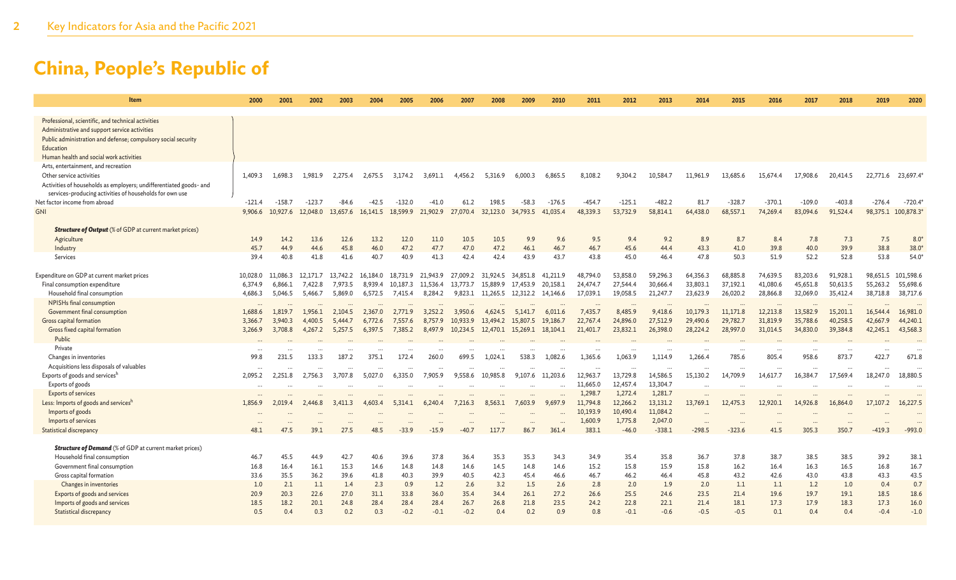| Item                                                                                                | 2000               | 2001               | 2002               | 2003                | 2004                 | 2005                | 2006                | 2007                | 2008                       | 2009                 | 2010                 | 2011                 | 2012                 | 2013                 | 2014                 | 2015                 | 2016                  | 2017                  | 2018                 | 2019                 | 2020                  |
|-----------------------------------------------------------------------------------------------------|--------------------|--------------------|--------------------|---------------------|----------------------|---------------------|---------------------|---------------------|----------------------------|----------------------|----------------------|----------------------|----------------------|----------------------|----------------------|----------------------|-----------------------|-----------------------|----------------------|----------------------|-----------------------|
|                                                                                                     |                    |                    |                    |                     |                      |                     |                     |                     |                            |                      |                      |                      |                      |                      |                      |                      |                       |                       |                      |                      |                       |
| Professional, scientific, and technical activities<br>Administrative and support service activities |                    |                    |                    |                     |                      |                     |                     |                     |                            |                      |                      |                      |                      |                      |                      |                      |                       |                       |                      |                      |                       |
| Public administration and defense; compulsory social security                                       |                    |                    |                    |                     |                      |                     |                     |                     |                            |                      |                      |                      |                      |                      |                      |                      |                       |                       |                      |                      |                       |
| Education                                                                                           |                    |                    |                    |                     |                      |                     |                     |                     |                            |                      |                      |                      |                      |                      |                      |                      |                       |                       |                      |                      |                       |
| Human health and social work activities                                                             |                    |                    |                    |                     |                      |                     |                     |                     |                            |                      |                      |                      |                      |                      |                      |                      |                       |                       |                      |                      |                       |
| Arts, entertainment, and recreation                                                                 |                    |                    |                    |                     |                      |                     |                     |                     |                            |                      |                      |                      |                      |                      |                      |                      |                       |                       |                      |                      |                       |
| Other service activities                                                                            | 1,409.3            | 1,698.3            | 1,981.9            | 2,275.4             | 2,675.5              | 3,174.2             | 3,691.1             | 4,456.2             | 5,316.9                    | 6,000.3              | 6,865.5              | 8,108.2              | 9,304.2              | 10,584.7             | 11,961.9             | 13,685.6             | 15,674.4              | 17,908.6              | 20,414.5             | 22,771.6             | 23,697.4              |
| Activities of households as employers; undifferentiated goods- and                                  |                    |                    |                    |                     |                      |                     |                     |                     |                            |                      |                      |                      |                      |                      |                      |                      |                       |                       |                      |                      |                       |
| services-producing activities of households for own use                                             |                    |                    |                    |                     |                      |                     |                     |                     |                            |                      |                      |                      |                      |                      |                      |                      |                       |                       |                      |                      |                       |
| Net factor income from abroad                                                                       | $-121.4$           | $-158.7$           | $-123.7$           | $-84.6$             | $-42.5$              | $-132.0$            | $-41.0$             | 61.2                | 198.5                      | $-58.3$              | $-176.5$             | $-454.7$             | $-125.1$             | $-482.2$             | 81.7                 | $-328.7$             | $-370.1$              | $-109.0$              | $-403.8$             | $-276.4$             | $-720.4$              |
| <b>GNI</b>                                                                                          | 9,906.6            | 10,927.6           | 12,048.0           | 13,657.6            | 16,141.5             | 18,599.9            | 21,902.9            | 27,070.4            | 32,123.0                   | 34,793.5             | 41,035.4             | 48,339.3             | 53,732.9             | 58,814.1             | 64,438.0             | 68,557.1             | 74,269.4              | 83,094.6              | 91,524.4             | 98,375.1             | 100,878.3             |
|                                                                                                     |                    |                    |                    |                     |                      |                     |                     |                     |                            |                      |                      |                      |                      |                      |                      |                      |                       |                       |                      |                      |                       |
| <b>Structure of Output</b> (% of GDP at current market prices)                                      |                    |                    |                    |                     |                      |                     |                     |                     |                            |                      |                      |                      |                      |                      |                      |                      |                       |                       |                      |                      |                       |
| Agriculture                                                                                         | 14.9               | 14.2               | 13.6               | 12.6                | 13.2                 | 12.0                | 11.0                | 10.5                | 10.5                       | 9.9                  | 9.6                  | 9.5                  | 9.4                  | 9.2                  | 8.9                  | 8.7                  | 8.4                   | 7.8                   | 7.3                  | 7.5                  | 8.0                   |
| Industry                                                                                            | 45.7               | 44.9               | 44.6               | 45.8                | 46.0                 | 47.2                | 47.7                | 47.0                | 47.2                       | 46.1                 | 46.7                 | 46.7                 | 45.6                 | 44.4                 | 43.3                 | 41.0                 | 39.8                  | 40.0                  | 39.9                 | 38.8                 | $38.0*$               |
| Services                                                                                            | 39.4               | 40.8               | 41.8               | 41.6                | 40.7                 | 40.9                | 41.3                | 42.4                | 42.4                       | 43.9                 | 43.7                 | 43.8                 | 45.0                 | 46.4                 | 47.8                 | 50.3                 | 51.9                  | 52.2                  | 52.8                 | 53.8                 | $54.0*$               |
|                                                                                                     |                    |                    |                    |                     |                      |                     |                     |                     |                            |                      |                      |                      |                      |                      |                      |                      |                       |                       |                      |                      |                       |
| Expenditure on GDP at current market prices                                                         | 10,028.0           | 11,086.3           | 12,171.7           | 13,742.2 16,184.0   |                      |                     | 18,731.9 21,943.9   |                     | 27,009.2 31,924.5 34,851.8 |                      | 41,211.9             | 48,794.0             | 53,858.0             | 59,296.3             | 64,356.3             | 68,885.8             | 74,639.5              | 83,203.6<br>45,651.8  | 91,928.1             | 98,651.5             | 101,598.6             |
| Final consumption expenditure<br>Household final consumption                                        | 6,374.9<br>4,686.3 | 6,866.1<br>5,046.5 | 7,422.8<br>5,466.7 | 7,973.5<br>5,869.0  | 8,939.4<br>6,572.5   | 10,187.3<br>7,415.4 | 11,536.4<br>8,284.2 | 13,773.7<br>9,823.1 | 15,889.9<br>11,265.5       | 17,453.9<br>12,312.2 | 20,158.1<br>14,146.6 | 24,474.7<br>17,039.1 | 27,544.4<br>19,058.5 | 30,666.4<br>21,247.7 | 33,803.1<br>23,623.9 | 37,192.1<br>26,020.2 | 41,080.6<br>28,866.8  | 32,069.0              | 50,613.5<br>35,412.4 | 55,263.2<br>38,718.8 | 55,698.6<br>38,717.6  |
| NPISHs final consumption                                                                            |                    |                    |                    |                     |                      |                     |                     |                     |                            |                      |                      |                      |                      |                      |                      |                      |                       |                       |                      |                      |                       |
| Government final consumption                                                                        | <br>1,688.6        | 1,819.7            | 1,956.1            | $\cdots$<br>2,104.5 | $\ddotsc$<br>2,367.0 | <br>2,771.9         | $\cdots$<br>3,252.2 | $\cdots$<br>3,950.6 | $\cdots$<br>4,624.5        | 5,141.7              | $\cdots$<br>6,011.6  | $\cdots$<br>7,435.7  | $\ddotsc$<br>8,485.9 | $\ddotsc$<br>9,418.6 | 10,179.3             | $\cdots$<br>11,171.8 | $\ddotsc$<br>12,213.8 | $\ddotsc$<br>13,582.9 | $\cdots$<br>15,201.1 | 16,544.4             | $\ddotsc$<br>16,981.0 |
| Gross capital formation                                                                             | 3,366.7            | 3,940.3            | 4,400.5            | 5,444.7             | 6,772.6              | 7,557.6             | 8,757.9             | 10,933.9            | 13,494.2                   | 15,807.5             | 19,186.7             | 22,767.4             | 24,896.0             | 27,512.9             | 29,490.6             | 29,782.7             | 31,819.9              | 35,788.6              | 40,258.5             | 42,667.9             | 44,240.1              |
| Gross fixed capital formation                                                                       | 3,266.9            | 3,708.8            | 4,267.2            | 5,257.5             | 6,397.5              | 7,385.2             | 8,497.9             | 10,234.5            | 12,470.1 15,269.1          |                      | 18,104.1             | 21,401.7             | 23,832.1             | 26,398.0             | 28,224.2             | 28,997.0             | 31,014.5              | 34,830.0              | 39,384.8             | 42,245.1             | 43,568.3              |
| Public                                                                                              |                    |                    |                    |                     |                      |                     |                     |                     |                            |                      |                      |                      |                      |                      |                      |                      |                       |                       |                      |                      |                       |
| Private                                                                                             |                    |                    |                    |                     |                      |                     |                     |                     |                            |                      |                      | $\cdots$             |                      |                      | $\cdots$             |                      | $\cdots$              |                       | $\cdots$             | $\ddotsc$            |                       |
| Changes in inventories                                                                              | 99.8               | 231.5              | 133.3              | 187.2               | 375.1                | 172.4               | 260.0               | 699.5               | 1,024.1                    | 538.3                | 1,082.6              | 1,365.6              | 1,063.9              | 1,114.9              | 1,266.4              | 785.6                | 805.4                 | 958.6                 | 873.7                | 422.7                | 671.8                 |
| Acquisitions less disposals of valuables                                                            |                    |                    |                    |                     |                      |                     |                     |                     |                            |                      |                      | $\cdot$              |                      |                      |                      |                      | $\cdots$              | $\ddotsc$             |                      | $\ddotsc$            |                       |
| Exports of goods and servicesh                                                                      | 2,095.2            | 2,251.8            | 2,756.3            | 3,707.8             | 5,027.0              | 6,335.0             | 7,905.9             | 9,558.6             | 10,985.8                   | 9,107.6              | 11,203.6             | 12,963.7             | 13,729.8             | 14,586.5             | 15,130.2             | 14,709.9             | 14,617.7              | 16,384.7              | 17,569.4             | 18,247.0             | 18,880.5              |
| Exports of goods                                                                                    |                    |                    |                    |                     |                      |                     |                     | $\cdots$            |                            |                      |                      | 11,665.0             | 12,457.4             | 13,304.7             |                      |                      |                       |                       |                      |                      |                       |
| <b>Exports of services</b>                                                                          |                    |                    |                    |                     | $\cdots$             |                     | $\cdots$            | $\cdots$            | $\cdots$                   | $\cdots$             |                      | 1,298.7              | 1,272.4              | 1,281.7              |                      |                      |                       |                       |                      |                      | $\ddotsc$             |
| Less: Imports of goods and servicesh                                                                | 1,856.9            | 2,019.4            | 2,446.8            | 3,411.3             | 4,603.4              | 5,314.1             | 6,240.4             | 7,216.3             | 8,563.1                    | 7,603.9              | 9,697.9              | 11,794.8             | 12,266.2             | 13,131.2             | 13,769.1             | 12,475.3             | 12,920.1              | 14,926.8              | 16,864.0             | 17,107.2             | 16,227.5              |
| Imports of goods                                                                                    |                    |                    |                    |                     |                      |                     |                     |                     |                            |                      |                      | 10,193.9             | 10,490.4             | 11,084.2             |                      |                      |                       |                       |                      |                      |                       |
| Imports of services                                                                                 | $\ddotsc$          |                    |                    |                     |                      |                     | $\cdots$            |                     |                            |                      |                      | 1,600.9              | 1,775.8              | 2,047.0              | $\cdots$             |                      | $\ddotsc$             |                       | $\ddotsc$            | $\ddotsc$            |                       |
| Statistical discrepancy                                                                             | 48.1               | 47.5               | 39.1               | 27.5                | 48.5                 | $-33.9$             | $-15.9$             | -40.                | 117.7                      | 86.7                 | 361.4                | 383.1                | $-46.0$              | $-338.1$             | $-298.5$             | $-323.6$             | 41.5                  | 305.3                 | 350.7                | $-419.3$             | $-993.0$              |
| <b>Structure of Demand</b> (% of GDP at current market prices)                                      |                    |                    |                    |                     |                      |                     |                     |                     |                            |                      |                      |                      |                      |                      |                      |                      |                       |                       |                      |                      |                       |
| Household final consumption                                                                         | 46.7               | 45.5               | 44.9               | 42.7                | 40.6                 | 39.6                | 37.8                | 36.4                | 35.3                       | 35.3                 | 34.3                 | 34.9                 | 35.4                 | 35.8                 | 36.7                 | 37.8                 | 38.7                  | 38.5                  | 38.5                 | 39.2                 | 38.1                  |
| Government final consumption                                                                        | 16.8               | 16.4               | 16.1               | 15.3                | 14.6                 | 14.8                | 14.8                | 14.6                | 14.5                       | 14.8                 | 14.6                 | 15.2                 | 15.8                 | 15.9                 | 15.8                 | 16.2                 | 16.4                  | 16.3                  | 16.5                 | 16.8                 | 16.7                  |
| Gross capital formation                                                                             | 33.6               | 35.5               | 36.2               | 39.6                | 41.8                 | 40.3                | 39.9                | 40.5                | 42.3                       | 45.4                 | 46.6                 | 46.7                 | 46.2                 | 46.4                 | 45.8                 | 43.2                 | 42.6                  | 43.0                  | 43.8                 | 43.3                 | 43.5                  |
| Changes in inventories                                                                              | 1.0                | 2.1                | 1.1                | 1.4                 | 2.3                  | 0.9                 | 1.2                 | 2.6                 | 3.2                        | 1.5                  | 2.6                  | 2.8                  | 2.0                  | 1.9                  | 2.0                  | 1.1                  | 1.1                   | 1.2                   | 1.0                  | 0.4                  | 0.7                   |
| Exports of goods and services                                                                       | 20.9               | 20.3               | 22.6               | 27.0                | 31.1                 | 33.8                | 36.0                | 35.4                | 34.4                       | 26.1                 | 27.2                 | 26.6                 | 25.5                 | 24.6                 | 23.5                 | 21.4                 | 19.6                  | 19.7                  | 19.1                 | 18.5                 | 18.6                  |
| Imports of goods and services                                                                       | 18.5               | 18.2               | 20.1               | 24.8                | 28.4                 | 28.4                | 28.4                | 26.7                | 26.8                       | 21.8                 | 23.5                 | 24.2                 | 22.8                 | 22.1                 | 21.4                 | 18.1                 | 17.3                  | 17.9                  | 18.3                 | 17.3                 | 16.0                  |
| Statistical discrepancy                                                                             | 0.5                | 0.4                | 0.3                | 0.2                 | 0.3                  | $-0.2$              | $-0.1$              | $-0.2$              | 0.4                        | 0.2                  | 0.9                  | 0.8                  | $-0.1$               | $-0.6$               | $-0.5$               | $-0.5$               | 0.1                   | 0.4                   | 0.4                  | $-0.4$               | $-1.0$                |
|                                                                                                     |                    |                    |                    |                     |                      |                     |                     |                     |                            |                      |                      |                      |                      |                      |                      |                      |                       |                       |                      |                      |                       |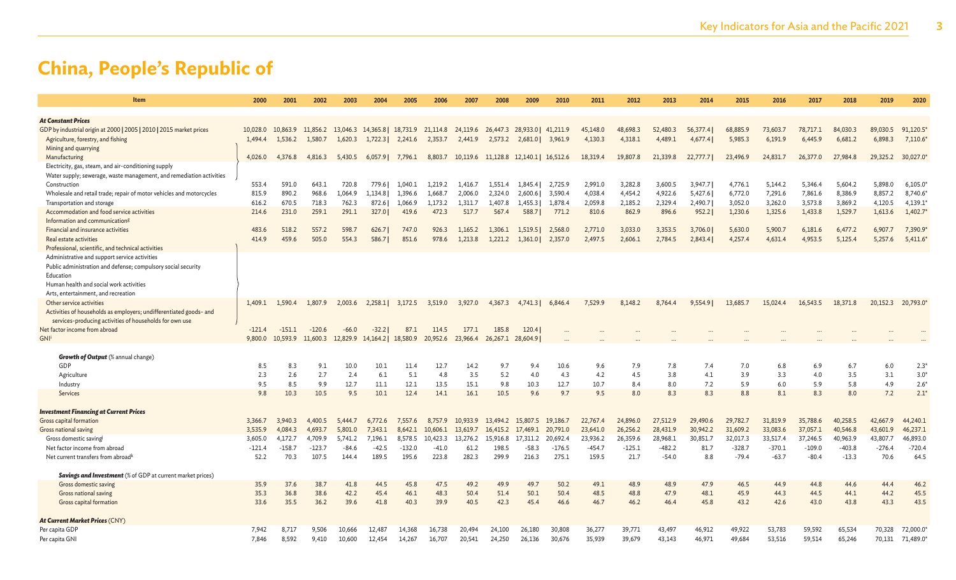| Item                                                                                             | 2000     | 2001     | 2002     | 2003                                                    | 2004              | 2005     | 2006     | 2007     | 2008                                        | 2009                                  | 2010     | 2011     | 2012     | 2013     | 2014     | 2015     | 2016     | 2017     | 2018     | 2019     | 2020          |
|--------------------------------------------------------------------------------------------------|----------|----------|----------|---------------------------------------------------------|-------------------|----------|----------|----------|---------------------------------------------|---------------------------------------|----------|----------|----------|----------|----------|----------|----------|----------|----------|----------|---------------|
|                                                                                                  |          |          |          |                                                         |                   |          |          |          |                                             |                                       |          |          |          |          |          |          |          |          |          |          |               |
| <b>At Constant Prices</b><br>GDP by industrial origin at 2000   2005   2010   2015 market prices | 10,028.0 | 10,863.9 | 11,856.2 |                                                         |                   |          |          |          |                                             |                                       |          | 45,148.0 | 48,698.3 | 52,480.3 | 56,377.4 | 68,885.9 | 73,603.7 | 78,717.1 | 84,030.3 | 89,030.5 | 91,120.5      |
| Agriculture, forestry, and fishing                                                               | 1,494.4  | 1,536.2  | 1,580.7  | 13,046.3 14,365.8 18,731.9 21,114.8 24,119.6<br>1,620.3 | 1,722.3           | 2,241.6  | 2,353.7  | 2,441.9  | 2,573.2                                     | 26,447.3 28,933.0 41,211.9<br>2,681.0 | 3,961.9  | 4,130.3  | 4,318.1  | 4,489.1  | 4,677.4  | 5,985.3  | 6,191.9  | 6,445.9  | 6,681.2  | 6,898.3  | 7,110.6       |
| Mining and quarrying                                                                             |          |          |          |                                                         |                   |          |          |          |                                             |                                       |          |          |          |          |          |          |          |          |          |          |               |
| Manufacturing                                                                                    | 4,026.0  | 4,376.8  | 4,816.3  | 5,430.5                                                 | $6,057.9$ 7,796.1 |          |          |          | 8,803.7 10,119.6 11,128.8 12,140.1 16,512.6 |                                       |          | 18,319.4 | 19,807.8 | 21,339.8 | 22,777.7 | 23,496.9 | 24,831.7 | 26,377.0 | 27,984.8 | 29,325.2 | 30,027.0      |
| Electricity, gas, steam, and air-conditioning supply                                             |          |          |          |                                                         |                   |          |          |          |                                             |                                       |          |          |          |          |          |          |          |          |          |          |               |
| Water supply; sewerage, waste management, and remediation activities                             |          |          |          |                                                         |                   |          |          |          |                                             |                                       |          |          |          |          |          |          |          |          |          |          |               |
| Construction                                                                                     | 553.4    | 591.0    | 643.1    | 720.8                                                   | 779.61            | 1.040.1  | 1,219.2  | 1,416.7  | 1.551.4                                     | 1.845.4                               | 2,725.9  | 2,991.0  | 3.282.8  | 3,600.5  | 3.947.7  | 4,776.1  | 5.144.2  | 5.346.4  | 5.604.2  | 5.898.0  | 6,105.0       |
| Wholesale and retail trade; repair of motor vehicles and motorcycles                             | 815.9    | 890.2    | 968.6    | 1,064.9                                                 | 1,134.8           | 1,396.6  | 1,668.7  | 2,006.0  | 2,324.0                                     | 2,600.6                               | 3,590.4  | 4,038.4  | 4,454.2  | 4,922.6  | 5,427.6  | 6,772.0  | 7,291.6  | 7,861.6  | 8,386.9  | 8,857.2  | 8,740.6       |
| Transportation and storage                                                                       | 616.2    | 670.5    | 718.3    | 762.3                                                   | 872.6             | 1,066.9  | 1,173.2  | 1,311.7  | 1,407.8                                     | 1,455.3                               | 1,878.4  | 2,059.8  | 2,185.2  | 2,329.4  | 2,490.7  | 3,052.0  | 3,262.0  | 3,573.8  | 3,869.2  | 4,120.5  | 4,139.1       |
| Accommodation and food service activities                                                        | 214.6    | 231.0    | 259.1    | 291.1                                                   | 327.0             | 419.6    | 472.3    | 517.7    | 567.4                                       | 588.7                                 | 771.2    | 810.6    | 862.9    | 896.6    | 952.2    | 1,230.6  | 1,325.6  | 1,433.8  | 1,529.7  | 1,613.6  | 1,402.7       |
| Information and communication <sup>8</sup>                                                       |          |          |          |                                                         |                   |          |          |          |                                             |                                       |          |          |          |          |          |          |          |          |          |          |               |
| Financial and insurance activities                                                               | 483.6    | 518.2    | 557.2    | 598.7                                                   | 626.7             | 747.0    | 926.3    | 1,165.2  | 1,306.1                                     | 1,519.5                               | 2,568.0  | 2,771.0  | 3,033.0  | 3,353.5  | 3,706.0  | 5,630.0  | 5,900.7  | 6,181.6  | 6,477.2  | 6,907.7  | 7,390.9       |
| Real estate activities                                                                           | 414.9    | 459.6    | 505.0    | 554.3                                                   | 586.7             | 851.6    | 978.6    | 1,213.8  | 1,221.2                                     | 1,361.0                               | 2,357.0  | 2,497.5  | 2,606.1  | 2,784.5  | 2,843.4  | 4,257.4  | 4,631.4  | 4,953.5  | 5,125.4  | 5,257.6  | 5,411.6       |
| Professional, scientific, and technical activities                                               |          |          |          |                                                         |                   |          |          |          |                                             |                                       |          |          |          |          |          |          |          |          |          |          |               |
| Administrative and support service activities                                                    |          |          |          |                                                         |                   |          |          |          |                                             |                                       |          |          |          |          |          |          |          |          |          |          |               |
| Public administration and defense; compulsory social security                                    |          |          |          |                                                         |                   |          |          |          |                                             |                                       |          |          |          |          |          |          |          |          |          |          |               |
| Education                                                                                        |          |          |          |                                                         |                   |          |          |          |                                             |                                       |          |          |          |          |          |          |          |          |          |          |               |
| Human health and social work activities                                                          |          |          |          |                                                         |                   |          |          |          |                                             |                                       |          |          |          |          |          |          |          |          |          |          |               |
| Arts, entertainment, and recreation                                                              |          |          |          |                                                         |                   |          |          |          |                                             |                                       |          |          |          |          |          |          |          |          |          |          |               |
| Other service activities                                                                         | 1,409.1  | 1,590.4  | 1,807.9  | 2,003.6                                                 | 2,258.1           | 3,172.5  | 3,519.0  | 3,927.0  | 4,367.3                                     | 4,741.3                               | 6,846.4  | 7,529.9  | 8,148.2  | 8,764.4  | 9,554.9  | 13,685.  | 15,024.4 | 16,543.5 | 18,371.8 | 20,152.3 | 20,793.0      |
| Activities of households as employers; undifferentiated goods- and                               |          |          |          |                                                         |                   |          |          |          |                                             |                                       |          |          |          |          |          |          |          |          |          |          |               |
| services-producing activities of households for own use                                          |          |          |          |                                                         |                   |          |          |          |                                             |                                       |          |          |          |          |          |          |          |          |          |          |               |
| Net factor income from abroad                                                                    | $-121.4$ | $-151.1$ | $-120.6$ | $-66.0$                                                 | $-32.2$           | 87.1     | 114.5    | 177.1    | 185.8                                       | 120.4                                 |          |          |          |          |          |          |          |          |          |          |               |
| GNI                                                                                              | 9,800.0  | 10,593.9 | 11,600.3 | 12,829.9 14,164.2   18,580.9                            |                   |          | 20,952.6 | 23,966.4 | 26,267.1                                    | 28,604.9                              |          |          |          |          |          |          |          |          |          |          |               |
|                                                                                                  |          |          |          |                                                         |                   |          |          |          |                                             |                                       |          |          |          |          |          |          |          |          |          |          |               |
| <b>Growth of Output</b> (% annual change)                                                        |          |          |          |                                                         |                   |          |          |          |                                             |                                       |          |          |          |          |          |          |          |          |          |          |               |
| GDP                                                                                              | 8.5      | 8.3      | 9.1      | 10.0                                                    | 10.1              | 11.4     | 12.7     | 14.2     | 9.7                                         | 9.4                                   | 10.6     | 9.6      | 7.9      | 7.8      | 7.4      | 7.0      | 6.8      | 6.9      | 6.7      | 6.0      | $2.3^{\circ}$ |
| Agriculture                                                                                      | 2.3      | 2.6      | 2.7      | 2.4                                                     | 6.1               | 5.1      | 4.8      | 3.5      | 5.2                                         | 4.0                                   | 4.3      | 4.2      | 4.5      | 3.8      | 4.1      | 3.9      | 3.3      | 4.0      | 3.5      | 3.1      | $3.0*$        |
| Industry                                                                                         | 9.5      | 8.5      | 9.9      | 12.7                                                    | 11.1              | 12.1     | 13.5     | 15.1     | 9.8                                         | 10.3                                  | 12.7     | 10.7     | 8.4      | 8.0      | 7.2      | 5.9      | 6.0      | 5.9      | 5.8      | 4.9      | $2.6*$        |
| Services                                                                                         | 9.8      | 10.3     | 10.5     | 9.5                                                     | 10.1              | 12.4     | 14.1     | 16.1     | 10.5                                        | 9.6                                   | 9.7      | 9.5      | 8.0      | 8.3      | 8.3      | 8.8      | 8.1      | 8.3      | 8.0      | 7.2      | 2.1'          |
|                                                                                                  |          |          |          |                                                         |                   |          |          |          |                                             |                                       |          |          |          |          |          |          |          |          |          |          |               |
| <b>Investment Financing at Current Prices</b>                                                    |          |          |          |                                                         |                   |          |          |          |                                             |                                       |          |          |          |          |          |          |          |          |          |          |               |
| Gross capital formation                                                                          | 3,366.7  | 3,940.3  | 4,400.5  | 5,444.7                                                 | 6,772.6           | 7,557.6  | 8,757.9  | 10,933.9 | 13,494.2                                    | 15,807.5                              | 19,186.7 | 22,767.4 | 24,896.0 | 27,512.9 | 29,490.6 | 29,782.7 | 31,819.9 | 35,788.6 | 40,258.5 | 42,667.9 | 44,240.1      |
| Gross national saving                                                                            | 3,535.9  | 4,084.3  | 4,693.7  | 5,801.0                                                 | 7,343.1           | 8,642.1  | 10,606.1 | 13,619.7 | 16,415.2                                    | 17,469.1                              | 20,791.0 | 23,641.0 | 26,256.2 | 28,431.9 | 30,942.2 | 31,609.2 | 33,083.6 | 37,057.1 | 40,546.8 | 43,601.9 | 46,237.1      |
| Gross domestic saving                                                                            | 3,605.0  | 4,172.7  | 4,709.9  | 5,741.2                                                 | 7,196.1           | 8,578.5  | 10,423.3 | 13,276.2 | 15,916.8                                    | 17,311.2                              | 20,692.4 | 23,936.2 | 26,359.6 | 28,968.1 | 30,851.7 | 32,017.3 | 33,517.4 | 37,246.5 | 40,963.9 | 43,807.7 | 46,893.0      |
| Net factor income from abroad                                                                    | $-121.4$ | $-158.7$ | $-123.7$ | $-84.6$                                                 | $-42.5$           | $-132.0$ | $-41.0$  | 61.2     | 198.5                                       | $-58.3$                               | $-176.5$ | $-454.7$ | $-125.1$ | $-482.2$ | 81.7     | $-328.7$ | $-370.1$ | $-109.0$ | $-403.8$ | $-276.4$ | $-720.4$      |
| Net current transfers from abroad <sup>k</sup>                                                   | 52.2     | 70.3     | 107.5    | 144.4                                                   | 189.5             | 195.6    | 223.8    | 282.3    | 299.9                                       | 216.3                                 | 275.1    | 159.5    | 21.7     | $-54.0$  | 8.8      | $-79.4$  | $-63.7$  | $-80.4$  | $-13.3$  | 70.6     | 64.5          |
|                                                                                                  |          |          |          |                                                         |                   |          |          |          |                                             |                                       |          |          |          |          |          |          |          |          |          |          |               |
| <b>Savings and Investment</b> (% of GDP at current market prices)                                |          |          |          |                                                         |                   |          |          |          |                                             |                                       |          |          |          |          |          |          |          |          |          |          |               |
| Gross domestic saving                                                                            | 35.9     | 37.6     | 38.7     | 41.8                                                    | 44.5              | 45.8     | 47.5     | 49.2     | 49.9                                        | 49.7                                  | 50.2     | 49.1     | 48.9     | 48.9     | 47.9     | 46.5     | 44.9     | 44.8     | 44.6     | 44.4     | 46.2          |
| Gross national saving                                                                            | 35.3     | 36.8     | 38.6     | 42.2                                                    | 45.4              | 46.1     | 48.3     | 50.4     | 51.4                                        | 50.1                                  | 50.4     | 48.5     | 48.8     | 47.9     | 48.1     | 45.9     | 44.3     | 44.5     | 44.1     | 44.2     | 45.5          |
| Gross capital formation                                                                          | 33.6     | 35.5     | 36.2     | 39.6                                                    | 41.8              | 40.3     | 39.9     | 40.5     | 42.3                                        | 45.4                                  | 46.6     | 46.7     | 46.2     | 46.4     | 45.8     | 43.2     | 42.6     | 43.0     | 43.8     | 43.3     | 43.5          |
|                                                                                                  |          |          |          |                                                         |                   |          |          |          |                                             |                                       |          |          |          |          |          |          |          |          |          |          |               |
| At Current Market Prices (CNY)                                                                   |          |          |          |                                                         |                   |          |          |          |                                             |                                       |          |          |          |          |          |          |          |          |          |          |               |
| Per capita GDP                                                                                   | 7,942    | 8,717    | 9,506    | 10,666                                                  | 12,487            | 14,368   | 16,738   | 20,494   | 24,100                                      | 26,180                                | 30,808   | 36,277   | 39,771   | 43,497   | 46,912   | 49,922   | 53,783   | 59,592   | 65,534   | 70,328   | 72,000.0      |
| Per capita GNI                                                                                   | 7,846    | 8,592    | 9,410    | 10,600                                                  | 12,454            | 14,267   | 16,707   | 20,541   | 24,250                                      | 26,136                                | 30,676   | 35,939   | 39,679   | 43,143   | 46,971   | 49,684   | 53,516   | 59,514   | 65,246   | 70,131   | 71,489.0      |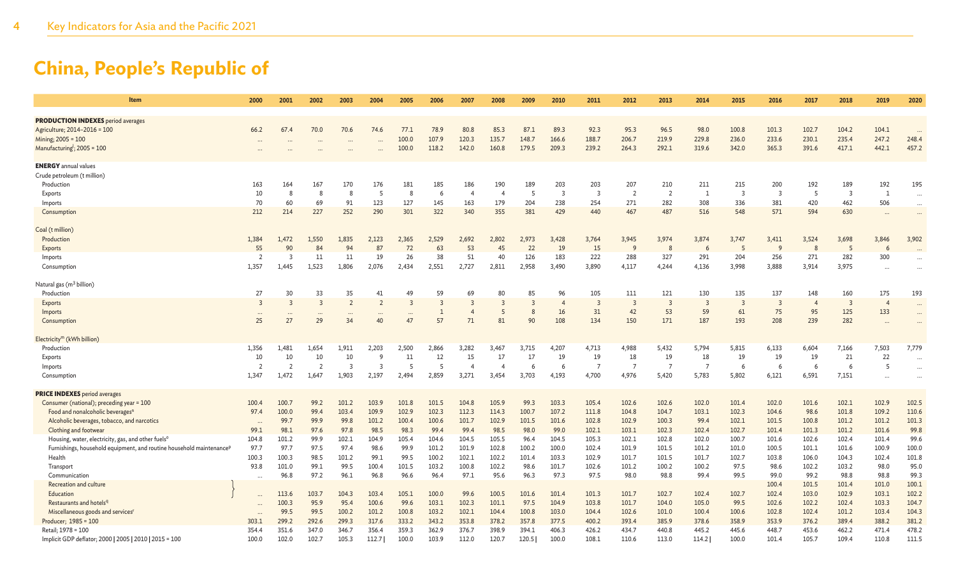| Item                                                                             | 2000           | 2001           | 2002           | 2003           | 2004           | 2005                 | 2006           | 2007           | 2008           | 2009           | 2010                    | 2011           | 2012           | 2013           | 2014           | 2015           | 2016                    | 2017           | 2018           | 2019           | 2020      |
|----------------------------------------------------------------------------------|----------------|----------------|----------------|----------------|----------------|----------------------|----------------|----------------|----------------|----------------|-------------------------|----------------|----------------|----------------|----------------|----------------|-------------------------|----------------|----------------|----------------|-----------|
| <b>PRODUCTION INDEXES</b> period averages                                        |                |                |                |                |                |                      |                |                |                |                |                         |                |                |                |                |                |                         |                |                |                |           |
| Agriculture; 2014-2016 = 100                                                     | 66.2           | 67.4           | 70.0           | 70.6           | 74.6           | 77.1                 | 78.9           | 80.8           | 85.3           | 87.1           | 89.3                    | 92.3           | 95.3           | 96.5           | 98.0           | 100.8          | 101.3                   | 102.7          | 104.2          | 104.1          |           |
| Mining; 2005 = 100                                                               |                |                |                |                |                | 100.0                | 107.9          | 120.3          | 135.7          | 148.7          | 166.6                   | 188.7          | 206.7          | 219.9          | 229.8          | 236.0          | 233.6                   | 230.1          | 235.4          | 247.2          | 248.4     |
| Manufacturing <sup>1</sup> ; 2005 = 100                                          | $\cdots$       |                |                |                |                | 100.0                | 118.2          | 142.0          | 160.8          | 179.5          | 209.3                   | 239.2          | 264.3          | 292.1          | 319.6          | 342.0          | 365.3                   | 391.6          | 417.1          | 442.1          | 457.2     |
|                                                                                  |                |                |                |                |                |                      |                |                |                |                |                         |                |                |                |                |                |                         |                |                |                |           |
| <b>ENERGY</b> annual values                                                      |                |                |                |                |                |                      |                |                |                |                |                         |                |                |                |                |                |                         |                |                |                |           |
| Crude petroleum (t million)                                                      |                |                |                |                |                |                      |                |                |                |                |                         |                |                |                |                |                |                         |                |                |                |           |
| Production                                                                       | 163            | 164            | 167            | 170            | 176            | 181                  | 185            | 186            | 190            | 189            | 203                     | 203            | 207            | 210            | 211            | 215            | 200                     | 192            | 189            | 192            | 195       |
| Exports                                                                          | 10             | 8              | 8              | 8              | 5              | 8                    | -6             | $\overline{4}$ | $\overline{4}$ | -5             | $\overline{\mathbf{3}}$ | $\overline{3}$ | $\overline{2}$ | $\overline{2}$ | <sup>1</sup>   | $\overline{3}$ | $\overline{\mathbf{3}}$ | - 5            | $\overline{3}$ | 1              | $\cdots$  |
| Imports                                                                          | 70             | 60             | 69             | 91             | 123            | 127                  | 145            | 163            | 179            | 204            | 238                     | 254            | 271            | 282            | 308            | 336            | 381                     | 420            | 462            | 506            | $\cdots$  |
| Consumption                                                                      | 212            | 214            | 227            | 252            | 290            | 301                  | 322            | 340            | 355            | 381            | 429                     | 440            | 467            | 487            | 516            | 548            | 571                     | 594            | 630            | $\cdots$       | $\cdots$  |
| Coal (t million)                                                                 |                |                |                |                |                |                      |                |                |                |                |                         |                |                |                |                |                |                         |                |                |                |           |
| Production                                                                       | 1,384          | 1,472          | 1,550          | 1,835          | 2,123          | 2,365                | 2,529          | 2,692          | 2,802          | 2.973          | 3,428                   | 3,764          | 3,945          | 3,974          | 3,874          | 3,747          | 3,411                   | 3,524          | 3,698          | 3,846          | 3,902     |
| Exports                                                                          | 55             | 90             | 84             | 94             | 87             | 72                   | 63             | 53             | 45             | 22             | 19                      | 15             | 9              | 8              | 6              | 5              | $\mathsf{q}$            | 8              | 5              | 6              |           |
| Imports                                                                          | $\overline{2}$ | $\overline{3}$ | 11             | 11             | 19             | 26                   | 38             | 51             | 40             | 126            | 183                     | 222            | 288            | 327            | 291            | 204            | 256                     | 271            | 282            | 300            | $\ddotsc$ |
| Consumption                                                                      | 1,357          | 1,445          | 1,523          | 1,806          | 2,076          | 2,434                | 2,551          | 2,727          | 2,811          | 2,958          | 3,490                   | 3,890          | 4,117          | 4,244          | 4,136          | 3,998          | 3,888                   | 3,914          | 3,975          | $\cdots$       | $\ddotsc$ |
| Natural gas (m <sup>3</sup> billion)                                             |                |                |                |                |                |                      |                |                |                |                |                         |                |                |                |                |                |                         |                |                |                |           |
| Production                                                                       | 27             | 30             | 33             | 35             | 41             | 49                   | 59             | 69             | 80             | 85             | 96                      | 105            | 111            | 121            | 130            | 135            | 137                     | 148            | 160            | 175            | 193       |
| Exports                                                                          | $\overline{3}$ | $\overline{3}$ | $\overline{3}$ | $\overline{2}$ | $\overline{2}$ | 3                    | $\overline{3}$ |                | $\overline{3}$ | $\overline{3}$ | $\overline{4}$          | $\overline{3}$ | $\overline{3}$ | $\overline{3}$ | $\overline{3}$ | $\overline{3}$ | $\overline{\mathbf{3}}$ | $\overline{4}$ | $\overline{3}$ | $\overline{4}$ | $\cdots$  |
| Imports                                                                          | $\cdots$       | $\cdots$       | $\cdots$       | $\cdots$       | $\cdots$       | $\ddot{\phantom{a}}$ | $\mathbf{1}$   | $\overline{4}$ | 5              | 8              | 16                      | 31             | 42             | 53             | 59             | 61             | 75                      | 95             | 125            | 133            | $\cdots$  |
| Consumption                                                                      | 25             | 27             | 29             | 34             | 40             | 47                   | 57             | 71             | 81             | 90             | 108                     | 134            | 150            | 171            | 187            | 193            | 208                     | 239            | 282            |                |           |
|                                                                                  |                |                |                |                |                |                      |                |                |                |                |                         |                |                |                |                |                |                         |                |                |                |           |
| Electricity <sup>m</sup> (kWh billion)                                           |                |                |                |                |                |                      |                |                |                |                |                         |                |                |                |                |                |                         |                |                |                |           |
| Production                                                                       | 1,356          | 1,481          | 1,654          | 1,911          | 2,203          | 2,500                | 2,866          | 3,282          | 3,467          | 3,715          | 4,207                   | 4,713          | 4,988          | 5,432          | 5,794          | 5,815          | 6,133                   | 6,604          | 7,166          | 7,503          | 7,779     |
| Exports                                                                          | 10             | 10             | 10             | 10             | q              | 11                   | 12             | 15             | 17             | 17             | 19                      | 19             | 18             | 19             | 18             | 19             | 19                      | 19             | 21             | 22             | $\ddotsc$ |
| Imports                                                                          | $\overline{2}$ | $\overline{2}$ | $\overline{2}$ | $\overline{3}$ | 3              | 5                    | -5             |                |                | 6              | 6                       | - 7            | - 7            | - 7            | $\overline{7}$ | 6              | 6                       | 6              | 6              | 5              |           |
| Consumption                                                                      | 1,347          | 1,472          | 1.647          | 1.903          | 2,197          | 2,494                | 2,859          | 3,271          | 3,454          | 3,703          | 4,193                   | 4,700          | 4,976          | 5,420          | 5,783          | 5,802          | 6,121                   | 6.591          | 7,151          | $\cdots$       | $\ddotsc$ |
| <b>PRICE INDEXES</b> period averages                                             |                |                |                |                |                |                      |                |                |                |                |                         |                |                |                |                |                |                         |                |                |                |           |
| Consumer (national); preceding year = 100                                        | 100.4          | 100.7          | 99.2           | 101.2          | 103.9          | 101.8                | 101.5          | 104.8          | 105.9          | 99.3           | 103.3                   | 105.4          | 102.6          | 102.6          | 102.0          | 101.4          | 102.0                   | 101.6          | 102.1          | 102.9          | 102.5     |
| Food and nonalcoholic beverages <sup>"</sup>                                     | 97.4           | 100.0          | 99.4           | 103.4          | 109.9          | 102.9                | 102.3          | 112.3          | 114.3          | 100.7          | 107.2                   | 111.8          | 104.8          | 104.7          | 103.1          | 102.3          | 104.6                   | 98.6           | 101.8          | 109.2          | 110.6     |
| Alcoholic beverages, tobacco, and narcotics                                      | $\cdots$       | 99.7           | 99.9           | 99.8           | 101.2          | 100.4                | 100.6          | 101.7          | 102.9          | 101.5          | 101.6                   | 102.8          | 102.9          | 100.3          | 99.4           | 102.1          | 101.5                   | 100.8          | 101.2          | 101.2          | 101.3     |
| Clothing and footwear                                                            | 99.1           | 98.1           | 97.6           | 97.8           | 98.5           | 98.3                 | 99.4           | 99.4           | 98.5           | 98.0           | 99.0                    | 102.1          | 103.1          | 102.3          | 102.4          | 102.7          | 101.4                   | 101.3          | 101.2          | 101.6          | 99.8      |
| Housing, water, electricity, gas, and other fuels <sup>o</sup>                   | 104.8          | 101.2          | 99.9           | 102.1          | 104.9          | 105.4                | 104.6          | 104.5          | 105.5          | 96.4           | 104.5                   | 105.3          | 102.1          | 102.8          | 102.0          | 100.7          | 101.6                   | 102.6          | 102.4          | 101.4          | 99.6      |
| Furnishings, household equipment, and routine household maintenance <sup>p</sup> | 97.7           | 97.7           | 97.5           | 97.4           | 98.6           | 99.9                 | 101.2          | 101.9          | 102.8          | 100.2          | 100.0                   | 102.4          | 101.9          | 101.5          | 101.2          | 101.0          | 100.5                   | 101.1          | 101.6          | 100.9          | 100.0     |
| Health                                                                           | 100.3          | 100.3          | 98.5           | 101.2          | 99.1           | 99.5                 | 100.2          | 102.1          | 102.2          | 101.4          | 103.3                   | 102.9          | 101.7          | 101.5          | 101.7          | 102.7          | 103.8                   | 106.0          | 104.3          | 102.4          | 101.8     |
| Transport                                                                        | 93.8           | 101.0          | 99.1           | 99.5           | 100.4          | 101.5                | 103.2          | 100.8          | 102.2          | 98.6           | 101.7                   | 102.6          | 101.2          | 100.2          | 100.2          | 97.5           | 98.6                    | 102.2          | 103.2          | 98.0           | 95.0      |
| Communication                                                                    | $\cdots$       | 96.8           | 97.2           | 96.1           | 96.8           | 96.6                 | 96.4           | 97.1           | 95.6           | 96.3           | 97.3                    | 97.5           | 98.0           | 98.8           | 99.4           | 99.5           | 99.0                    | 99.2           | 98.8           | 98.8           | 99.3      |
| Recreation and culture                                                           |                |                |                |                |                |                      |                |                |                |                |                         |                |                |                |                |                | 100.4                   | 101.5          | 101.4          | 101.0          | 100.1     |
| Education                                                                        | $\cdots$       | 113.6          | 103.7          | 104.3          | 103.4          | 105.1                | 100.0          | 99.6           | 100.5          | 101.6          | 101.4                   | 101.3          | 101.7          | 102.7          | 102.4          | 102.7          | 102.4                   | 103.0          | 102.9          | 103.1          | 102.2     |
| Restaurants and hotels <sup>q</sup>                                              | $\cdots$       | 100.3          | 95.9           | 95.4           | 100.6          | 99.6                 | 103.1          | 102.3          | 101.1          | 97.5           | 104.9                   | 103.8          | 101.7          | 104.0          | 105.0          | 99.5           | 102.6                   | 102.2          | 102.4          | 103.3          | 104.7     |
| Miscellaneous goods and services'                                                | $\cdots$       | 99.5           | 99.5           | 100.2          | 101.2          | 100.8                | 103.2          | 102.1          | 104.4          | 100.8          | 103.0                   | 104.4          | 102.6          | 101.0          | 100.4          | 100.6          | 102.8                   | 102.4          | 101.2          | 103.4          | 104.3     |
| Producer; 1985 = 100                                                             | 303.1          | 299.2          | 292.6          | 299.3          | 317.6          | 333.2                | 343.2          | 353.8          | 378.2          | 357.8          | 377.5                   | 400.2          | 393.4          | 385.9          | 378.6          | 358.9          | 353.9                   | 376.2          | 389.4          | 388.2          | 381.2     |
| Retail: 1978 = 100                                                               | 354.4          | 351.6          | 347.0          | 346.7          | 356.4          | 359.3                | 362.9          | 376.7          | 398.9          | 394.1          | 406.3                   | 426.2          | 434.7          | 440.8          | 445.2          | 445.6          | 448.7                   | 453.6          | 462.2          | 471.4          | 478.2     |
| Implicit GDP deflator; 2000   2005   2010   2015 = 100                           | 100.0          | 102.0          | 102.7          | 105.3          | 112.7          | 100.0                | 103.9          | 112.0          | 120.7          | 120.5          | 100.0                   | 108.1          | 110.6          | 113.0          | 114.2          | 100.0          | 101.4                   | 105.7          | 109.4          | 110.8          | 111.5     |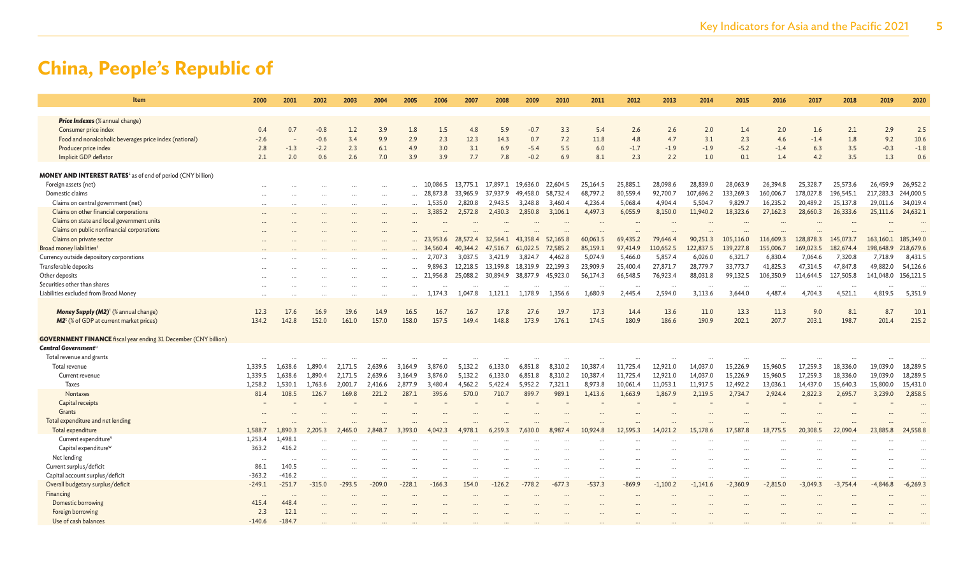| Item                                                                           | 2000     | 2001      | 2002     | 2003     | 2004     | 2005      | 2006     | 2007     | 2008     | 2009     | 2010     | 2011     | 2012     | 2013       | 2014       | 2015       | 2016       | 2017       | 2018       | 2019       | 2020       |
|--------------------------------------------------------------------------------|----------|-----------|----------|----------|----------|-----------|----------|----------|----------|----------|----------|----------|----------|------------|------------|------------|------------|------------|------------|------------|------------|
| <b>Price Indexes</b> (% annual change)                                         |          |           |          |          |          |           |          |          |          |          |          |          |          |            |            |            |            |            |            |            |            |
| Consumer price index                                                           | 0.4      | 0.7       | $-0.8$   | 1.2      | 3.9      | 1.8       | 1.5      | 4.8      | 5.9      | $-0.7$   | 3.3      | 5.4      | 2.6      | 2.6        | 2.0        | 1.4        | 2.0        | 1.6        | 2.1        | 2.9        | 2.5        |
| Food and nonalcoholic beverages price index (national)                         | $-2.6$   |           | $-0.6$   | 3.4      | 9.9      | 2.9       | 2.3      | 12.3     | 14.3     | 0.7      | 7.2      | 11.8     | 4.8      | 4.7        | 3.1        | 2.3        | 4.6        | $-1.4$     | 1.8        | 9.2        | 10.6       |
| Producer price index                                                           | 2.8      | $-1.3$    | $-2.2$   | 2.3      | 6.1      | 4.9       | 3.0      | 3.1      | 6.9      | $-5.4$   | 5.5      | 6.0      | $-1.7$   | $-1.9$     | $-1.9$     | $-5.2$     | $-1.4$     | 6.3        | 3.5        | $-0.3$     | $-1.8$     |
| Implicit GDP deflator                                                          | 2.1      | 2.0       | 0.6      | 2.6      | 7.0      | 3.9       | 3.9      | 7.7      | 7.8      | $-0.2$   | 6.9      | 8.1      | 2.3      | 2.2        | 1.0        | 0.1        | 1.4        | 4.2        | 3.5        | 1.3        | 0.6        |
|                                                                                |          |           |          |          |          |           |          |          |          |          |          |          |          |            |            |            |            |            |            |            |            |
| <b>MONEY AND INTEREST RATES</b> <sup>5</sup> as of end of period (CNY billion) |          |           |          |          |          |           |          |          |          |          |          |          |          |            |            |            |            |            |            |            |            |
| Foreign assets (net)                                                           |          |           |          |          |          |           | 10,086.5 | 13,775.1 | 17,897.1 | 19,636.0 | 22,604.5 | 25,164.5 | 25,885.1 | 28,098.6   | 28,839.0   | 28,063.9   | 26,394.8   | 25,328.7   | 25,573.6   | 26,459.9   | 26,952.2   |
| Domestic claims                                                                |          |           |          |          |          |           | 28,873.8 | 33,965.9 | 37,937.9 | 49,458.0 | 58,732.4 | 68,797.2 | 80,559.4 | 92,700.7   | 107,696.2  | 133,269.3  | 160,006.7  | 178,027.8  | 196,545.1  | 217,283.3  | 244,000.5  |
| Claims on central government (net)                                             |          |           |          |          |          |           | 1,535.0  | 2,820.8  | 2,943.5  | 3.248.8  | 3.460.4  | 4.236.4  | 5.068.4  | 4.904.4    | 5.504.7    | 9,829.7    | 16,235.2   | 20,489.2   | 25,137.8   | 29,011.6   | 34,019.4   |
| Claims on other financial corporations                                         |          |           |          |          | $\cdots$ |           | 3,385.2  | 2,572.8  | 2,430.3  | 2,850.8  | 3,106.1  | 4,497.3  | 6,055.9  | 8,150.0    | 11,940.2   | 18,323.6   | 27,162.3   | 28,660.3   | 26,333.6   | 25,111.6   | 24,632.1   |
| Claims on state and local government units                                     |          |           |          |          |          |           |          |          |          |          |          |          |          |            |            |            |            |            |            |            |            |
| Claims on public nonfinancial corporations                                     |          |           |          |          |          |           |          |          |          |          |          |          |          |            |            |            |            |            |            |            |            |
| Claims on private sector                                                       |          |           |          |          |          |           | 23,953.6 | 28,572.4 | 32,564.1 | 43,358.4 | 52,165.8 | 60,063.5 | 69,435.2 | 79,646.4   | 90,251.3   | 105,116.0  | 116,609.3  | 128,878.3  | 145,073.7  | 163,160.1  | 185,349.0  |
| Broad money liabilities <sup>t</sup>                                           |          |           |          |          |          |           | 34,560.4 | 40,344.2 | 47,516.7 | 61,022.5 | 72,585.2 | 85,159.1 | 97,414.9 | 110,652.5  | 122,837.5  | 139,227.8  | 155,006.7  | 169,023.5  | 182,674.4  | 198,648.9  | 218,679.6  |
| Currency outside depository corporations                                       |          |           |          |          |          |           | 2,707.3  | 3,037.5  | 3,421.9  | 3,824.7  | 4,462.8  | 5,074.9  | 5,466.0  | 5,857.4    | 6,026.0    | 6,321.7    | 6,830.4    | 7,064.6    | 7,320.8    | 7,718.9    | 8,431.5    |
| Transferable deposits                                                          |          |           |          |          |          |           | 9,896.3  | 12,218.5 | 13,199.8 | 18,319.9 | 22,199.3 | 23,909.9 | 25,400.4 | 27,871.7   | 28,779.7   | 33,773.7   | 41,825.3   | 47,314.5   | 47,847.8   | 49,882.0   | 54,126.6   |
| Other deposits                                                                 |          |           |          |          | $\cdots$ | $\cdots$  | 21,956.8 | 25,088.2 | 30,894.9 | 38,877.9 | 45,923.0 | 56,174.3 | 66,548.5 | 76,923.4   | 88,031.8   | 99,132.5   | 106,350.9  | 114,644.5  | 127,505.8  | 141,048.0  | 156,121.5  |
| Securities other than shares                                                   |          |           |          |          | $\cdots$ | $\ddotsc$ |          |          |          |          |          |          |          |            | $\ddotsc$  |            |            |            |            |            |            |
| Liabilities excluded from Broad Money                                          |          |           |          | $\cdots$ |          |           | 1,174.3  | 1,047.8  | 1.121.1  | 1,178.9  | 1,356.6  | 1,680.9  | 2,445.4  | 2,594.0    | 3,113.6    | 3,644.0    | 4,487.4    | 4,704.3    | 4,521.1    | 4,819.5    | 5,351.9    |
|                                                                                |          |           |          |          |          |           |          |          |          |          |          |          |          |            |            |            |            |            |            |            |            |
| Money Supply (M2) <sup>t</sup> (% annual change)                               | 12.3     | 17.6      | 16.9     | 19.6     | 14.9     | 16.5      | 16.7     | 16.7     | 17.8     | 27.6     | 19.7     | 17.3     | 14.4     | 13.6       | 11.0       | 13.3       | 11.3       | 9.0        | 8.1        | 8.7        | 10.1       |
| M2 <sup>t</sup> (% of GDP at current market prices)                            | 134.2    | 142.8     | 152.0    | 161.0    | 157.0    | 158.0     | 157.5    | 149.4    | 148.8    | 173.9    | 176.1    | 174.5    | 180.9    | 186.6      | 190.9      | 202.1      | 207.7      | 203.1      | 198.7      | 201.4      | 215.2      |
|                                                                                |          |           |          |          |          |           |          |          |          |          |          |          |          |            |            |            |            |            |            |            |            |
| <b>GOVERNMENT FINANCE</b> fiscal year ending 31 December (CNY billion)         |          |           |          |          |          |           |          |          |          |          |          |          |          |            |            |            |            |            |            |            |            |
| Central Government <sup>u</sup>                                                |          |           |          |          |          |           |          |          |          |          |          |          |          |            |            |            |            |            |            |            |            |
| Total revenue and grants                                                       |          |           |          |          |          |           |          |          |          |          |          |          |          |            |            |            |            |            |            |            |            |
| Total revenue                                                                  | 1,339.5  | 1,638.6   | 1,890.4  | 2,171.5  | 2,639.6  | 3,164.9   | 3,876.0  | 5,132.2  | 6,133.0  | 6,851.8  | 8,310.2  | 10,387.4 | 11,725.4 | 12,921.0   | 14,037.0   | 15,226.9   | 15,960.5   | 17,259.3   | 18,336.0   | 19,039.0   | 18,289.5   |
| Current revenue                                                                | 1,339.5  | 1,638.6   | 1.890.4  | 2,171.5  | 2,639.6  | 3,164.9   | 3,876.0  | 5,132.2  | 6,133.0  | 6,851.8  | 8,310.2  | 10,387.4 | 11,725.4 | 12,921.0   | 14,037.0   | 15,226.9   | 15,960.5   | 17,259.3   | 18,336.0   | 19,039.0   | 18,289.5   |
| Taxes                                                                          | 1,258.2  | 1,530.1   | 1,763.6  | 2,001.7  | 2,416.6  | 2,877.9   | 3,480.4  | 4,562.2  | 5,422.4  | 5,952.2  | 7,321.1  | 8,973.8  | 10,061.4 | 11,053.1   | 11,917.5   | 12,492.2   | 13,036.1   | 14,437.0   | 15,640.3   | 15,800.0   | 15,431.0   |
| Nontaxes                                                                       | 81.4     | 108.5     | 126.7    | 169.8    | 221.2    | 287.1     | 395.6    | 570.0    | 710.7    | 899.7    | 989.1    | 1,413.6  | 1,663.9  | 1,867.9    | 2,119.5    | 2.734.7    | 2,924.4    | 2,822.3    | 2,695.7    | 3,239.0    | 2,858.5    |
| Capital receipts                                                               |          |           |          |          |          |           |          |          |          |          |          |          |          |            |            |            |            |            |            |            |            |
| Grants                                                                         |          |           |          |          |          |           |          |          |          |          |          |          |          |            |            |            |            |            |            |            |            |
| Total expenditure and net lending                                              |          |           |          |          |          |           |          |          |          |          |          |          |          |            |            |            |            |            |            |            |            |
| Total expenditure                                                              | 1,588.7  | 1,890.3   | 2.205.3  | 2,465.0  | 2,848.7  | 3,393.0   | 4,042.3  | 4.978.1  | 6,259.3  | 7.630.0  | 8,987.4  | 10,924.8 | 12,595.3 | 14,021.2   | 15,178.6   | 17,587.8   | 18,775.5   | 20,308.5   | 22,090.4   | 23,885.8   | 24,558.8   |
| Current expenditure <sup>v</sup>                                               | 1,253.4  | 1.498.1   |          |          |          |           |          |          |          |          |          |          |          |            |            |            |            |            |            |            |            |
| Capital expenditure <sup>v</sup>                                               | 363.2    | 416.2     |          |          |          |           |          |          |          |          |          |          |          |            |            |            |            |            |            |            |            |
| Net lending                                                                    | .        | $\cdots$  |          |          |          |           |          |          |          |          |          |          |          |            |            |            |            |            |            |            |            |
| Current surplus/deficit                                                        | 86.1     | 140.5     |          |          |          |           |          |          |          |          |          |          |          |            |            |            |            |            |            |            |            |
| Capital account surplus/deficit                                                | $-363.2$ | $-416.2$  |          | $\cdots$ |          |           |          |          |          |          |          |          |          |            | $\ddotsc$  |            |            |            |            |            |            |
| Overall budgetary surplus/deficit                                              | $-249.1$ | $-251.7$  | $-315.0$ | $-293.5$ | $-209.0$ | $-228.1$  | $-166.3$ | 154.0    | $-126.2$ | $-778.2$ | $-677.3$ | $-537.3$ | $-869.9$ | $-1,100.2$ | $-1,141.6$ | $-2,360.9$ | $-2,815.0$ | $-3,049.3$ | $-3,754.4$ | $-4,846.8$ | $-6,269.3$ |
| Financing                                                                      | $\cdots$ | $\ddotsc$ |          |          |          |           |          |          |          |          |          |          |          |            |            |            |            |            |            |            |            |
| Domestic borrowing                                                             | 415.4    | 448.4     |          |          |          |           |          |          |          |          |          |          |          |            |            |            |            |            |            |            |            |
| Foreign borrowing                                                              | 2.3      | 12.1      |          |          |          |           |          |          |          |          |          |          |          |            |            |            |            |            |            |            |            |
| Use of cash balances                                                           | $-140.6$ | $-184.7$  |          |          |          |           |          |          |          |          |          |          |          |            |            |            |            |            |            |            |            |
|                                                                                |          |           |          |          |          |           |          |          |          |          |          |          |          |            |            |            |            |            |            |            |            |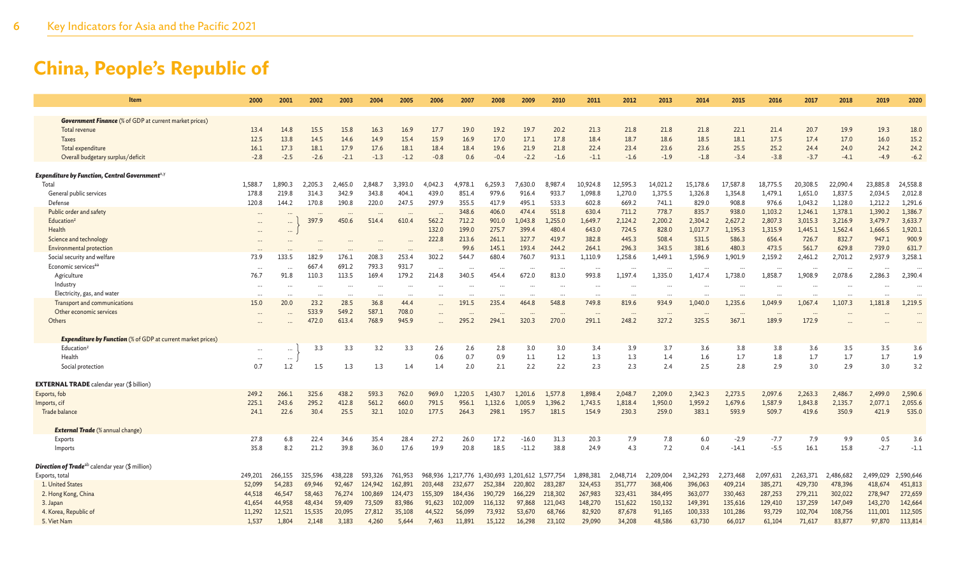| <b>Item</b>                                                        | 2000      | 2001     | 2002      | 2003     | 2004     | 2005     | 2006    | 2007                 | 2008      | 2009      | 2010      | 2011      | 2012      | 2013      | 2014                 | 2015                 | 2016      | 2017      | 2018                 | 2019      | 2020      |
|--------------------------------------------------------------------|-----------|----------|-----------|----------|----------|----------|---------|----------------------|-----------|-----------|-----------|-----------|-----------|-----------|----------------------|----------------------|-----------|-----------|----------------------|-----------|-----------|
| <b>Government Finance</b> (% of GDP at current market prices)      |           |          |           |          |          |          |         |                      |           |           |           |           |           |           |                      |                      |           |           |                      |           |           |
| Total revenue                                                      | 13.4      | 14.8     | 15.5      | 15.8     | 16.3     | 16.9     | 17.7    | 19.0                 | 19.2      | 19.7      | 20.2      | 21.3      | 21.8      | 21.8      | 21.8                 | 22.1                 | 21.4      | 20.7      | 19.9                 | 19.3      | 18.0      |
| Taxes                                                              | 12.5      | 13.8     | 14.5      | 14.6     | 14.9     | 15.4     | 15.9    | 16.9                 | 17.0      | 17.1      | 17.8      | 18.4      | 18.7      | 18.6      | 18.5                 | 18.1                 | 17.5      | 17.4      | 17.0                 | 16.0      | 15.2      |
| Total expenditure                                                  | 16.1      | 17.3     | 18.1      | 17.9     | 17.6     | 18.1     | 18.4    | 18.4                 | 19.6      | 21.9      | 21.8      | 22.4      | 23.4      | 23.6      | 23.6                 | 25.5                 | 25.2      | 24.4      | 24.0                 | 24.2      | 24.2      |
| Overall budgetary surplus/deficit                                  | $-2.8$    | $-2.5$   | $-2.6$    | $-2.1$   | $-1.3$   | $-1.2$   | $-0.8$  | 0.6                  | $-0.4$    | $-2.2$    | $-1.6$    | $-1.1$    | $-1.6$    | $-1.9$    | $-1.8$               | $-3.4$               | $-3.8$    | $-3.7$    | $-4.1$               | $-4.9$    | $-6.2$    |
| <b>Expenditure by Function, Central Government</b> <sup>x,y</sup>  |           |          |           |          |          |          |         |                      |           |           |           |           |           |           |                      |                      |           |           |                      |           |           |
| Total                                                              | 1,588.7   | 1,890.3  | 2,205.3   | 2,465.0  | 2,848.7  | 3.393.0  | 4,042.3 | 4,978.1              | 6,259.3   | 7,630.0   | 8,987.4   | 10,924.8  | 12,595.3  | 14,021.2  | 15,178.6             | 17,587.8             | 18,775.5  | 20,308.5  | 22,090.4             | 23,885.8  | 24,558.8  |
| General public services                                            | 178.8     | 219.8    | 314.3     | 342.9    | 343.8    | 404.1    | 439.0   | 851.4                | 979.6     | 916.4     | 933.7     | 1,098.8   | 1,270.0   | 1,375.5   | 1,326.8              | 1,354.8              | 1,479.1   | 1,651.0   | 1,837.5              | 2,034.5   | 2,012.8   |
| Defense                                                            | 120.8     | 144.2    | 170.8     | 190.8    | 220.0    | 247.5    | 297.9   | 355.5                | 417.9     | 495.      | 533.3     | 602.8     | 669.2     | 741.1     | 829.0                | 908.8                | 976.6     | 1,043.2   | 1,128.0              | 1,212.2   | 1,291.6   |
| Public order and safety                                            |           |          |           |          |          |          |         | 348.6                | 406.0     | 474.4     | 551.8     | 630.4     | 711.2     | 778.7     | 835.7                | 938.0                | 1,103.2   | 1,246.1   | 1,378.1              | 1,390.2   | 1,386.7   |
| Education <sup>2</sup>                                             |           |          | 397.9     | 450.6    | 514.4    | 610.4    | 562.2   | 712.2                | 901.0     | 1,043.8   | 1,255.0   | 1,649.7   | 2,124.2   | 2,200.2   | 2,304.2              | 2,627.2              | 2,807.3   | 3,015.3   | 3,216.9              | 3,479.7   | 3,633.7   |
| Health                                                             | $\cdots$  | $\cdots$ |           |          |          |          | 132.0   | 199.0                | 275.7     | 399.4     | 480.4     | 643.0     | 724.5     | 828.0     | 1,017.7              | 1,195.3              | 1,315.9   | 1,445.1   | 1,562.4              | 1,666.5   | 1,920.1   |
| Science and technology                                             |           |          |           |          |          |          | 222.8   | 213.6                | 261.1     | 327.7     | 419.7     | 382.8     | 445.3     | 508.4     | 531.5                | 586.3                | 656.4     | 726.7     | 832.7                | 947.1     | 900.9     |
| Environmental protection                                           |           |          |           |          |          |          |         | 99.6                 | 145.1     | 193.4     | 244.2     | 264.1     | 296.3     | 343.5     | 381.6                | 480.3                | 473.5     | 561.7     | 629.8                | 739.0     | 631.7     |
| Social security and welfare                                        | 73.9      | 133.5    | 182.9     | 176.1    | 208.3    | 253.4    | 302.2   | 544.7                | 680.4     | 760.7     | 913.1     | 1,110.9   | 1,258.6   | 1,449.1   | 1,596.9              | 1,901.9              | 2,159.2   | 2,461.2   | 2,701.2              | 2,937.9   | 3,258.1   |
| Economic services <sup>aa</sup>                                    | $\cdots$  |          | 667.4     | 691.2    | 793.3    | 931.7    |         | $\ddot{\phantom{a}}$ |           |           |           |           |           |           | $\ddot{\phantom{a}}$ | $\ddot{\phantom{a}}$ | $\cdots$  |           | $\ddot{\phantom{a}}$ |           |           |
| Agriculture                                                        | 76.7      | 91.8     | 110.3     | 113.5    | 169.4    | 179.2    | 214.8   | 340.5                | 454.4     | 672.0     | 813.0     | 993.8     | 1,197.4   | 1,335.0   | 1,417.4              | 1,738.0              | 1,858.7   | 1,908.9   | 2,078.6              | 2,286.3   | 2,390.4   |
| Industry                                                           | $\ddotsc$ |          |           | $\cdots$ | $\cdots$ | $\cdots$ |         | $\ddotsc$            |           |           |           |           |           |           | $\cdots$             |                      | $\cdots$  | $\cdots$  | $\cdots$             |           |           |
| Electricity, gas, and water                                        |           |          | $\ddotsc$ | $\cdots$ | $\cdots$ | $\cdots$ |         | $\ddotsc$            |           |           |           |           |           |           | $\cdots$             |                      | $\cdots$  |           | $\cdots$             | $\cdots$  |           |
| Transport and communications                                       | 15.0      | 20.0     | 23.2      | 28.5     | 36.8     | 44.4     |         | 191.5                | 235.4     | 464       | 548.8     | 749.8     | 819.6     | 934.9     | 1,040.0              | 1.235.6              | 1,049.9   | 1.067.4   | 1,107.3              | 1,181.8   | 1,219.5   |
| Other economic services                                            | $\cdots$  |          | 533.9     | 549.2    | 587.1    | 708.0    |         |                      |           |           |           |           |           |           | $\cdots$             | $\ddot{\phantom{0}}$ | $\cdots$  | $\cdots$  |                      |           |           |
| Others                                                             | $\cdots$  |          | 472.0     | 613.4    | 768.9    | 945.9    |         | 295.2                | 294.1     | 320.3     | 270.0     | 291.1     | 248.2     | 327.2     | 325.5                | 367.1                | 189.9     | 172.9     |                      |           |           |
| <b>Expenditure by Function</b> (% of GDP at current market prices) |           |          |           |          |          |          |         |                      |           |           |           |           |           |           |                      |                      |           |           |                      |           |           |
| Education <sup>2</sup>                                             | $\cdots$  | $\cdots$ | 3.3       | 3.3      | 3.2      | 3.3      | 2.6     | 2.6                  | 2.8       | 3.0       | 3.0       | 3.4       | 3.9       | 3.7       | 3.6                  | 3.8                  | 3.8       | 3.6       | 3.5                  | 3.5       | 3.6       |
| Health                                                             |           | $\cdots$ |           |          |          |          | 0.6     | 0.7                  | 0.9       | 1.1       | 1.2       | 1.3       | 1.3       | 1.4       | 1.6                  | 1.7                  | 1.8       | 1.7       | 1.7                  | 1.7       | 1.9       |
| Social protection                                                  | 0.7       | 1.2      | $1.5\,$   | 1.3      | 1.3      | 1.4      | 1.4     | 2.0                  | 2.1       | 2.2       | 2.2       | 2.3       | 2.3       | 2.4       | 2.5                  | 2.8                  | 2.9       | 3.0       | 2.9                  | 3.0       | 3.2       |
| <b>EXTERNAL TRADE</b> calendar year (\$ billion)                   |           |          |           |          |          |          |         |                      |           |           |           |           |           |           |                      |                      |           |           |                      |           |           |
| Exports, fob                                                       | 249.2     | 266.1    | 325.6     | 438.2    | 593.3    | 762.0    | 969.0   | 1.220.5              | 1.430.7   | 1.201.6   | 1.577.8   | 1.898.4   | 2,048.7   | 2,209.0   | 2,342.3              | 2,273.5              | 2,097.6   | 2,263.3   | 2,486.7              | 2,499.0   | 2,590.6   |
| Imports, cif                                                       | 225.1     | 243.6    | 295.2     | 412.8    | 561.2    | 660.0    | 791.5   | 956.1                | 1,132.6   | 1,005.9   | 1,396.2   | 1,743.5   | 1,818.4   | 1,950.0   | 1,959.2              | 1,679.6              | 1,587.9   | 1,843.8   | 2,135.7              | 2,077.1   | 2,055.6   |
| Trade balance                                                      | 24.1      | 22.6     | 30.4      | 25.5     | 32.1     | 102.0    | 177.5   | 264.3                | 298.1     | 195.7     | 181.5     | 154.9     | 230.3     | 259.0     | 383.1                | 593.9                | 509.7     | 419.6     | 350.9                | 421.9     | 535.0     |
| <b>External Trade</b> (% annual change)                            |           |          |           |          |          |          |         |                      |           |           |           |           |           |           |                      |                      |           |           |                      |           |           |
| Exports                                                            | 27.8      | 6.8      | 22.4      | 34.6     | 35.4     | 28.4     | 27.2    | 26.0                 | 17.2      | $-16.0$   | 31.3      | 20.3      | 7.9       | 7.8       | 6.0                  | $-2.9$               | $-7.7$    | 7.9       | 9.9                  | 0.5       | 3.6       |
| Imports                                                            | 35.8      | 8.2      | 21.2      | 39.8     | 36.0     | 17.6     | 19.9    | 20.8                 | 18.5      | $-11.2$   | 38.8      | 24.9      | 4.3       | 7.2       | 0.4                  | $-14.1$              | $-5.5$    | 16.1      | 15.8                 | $-2.7$    | $-1.1$    |
| <b>Direction of Trade</b> <sup>ab</sup> calendar year (\$ million) |           |          |           |          |          |          |         |                      |           |           |           |           |           |           |                      |                      |           |           |                      |           |           |
| Exports, total                                                     | 249,201   | 266,155  | 325,596   | 438,228  | 593,326  | 761.953  | 968,936 | 1.217,776            | 1.430.693 | 1,201,612 | 1,577,754 | 1,898,381 | 2,048,714 | 2,209,004 | 2,342,293            | 2,273,468            | 2,097,631 | 2,263,371 | 2,486,682            | 2,499,029 | 2,590,646 |
| 1. United States                                                   | 52,099    | 54,283   | 69,946    | 92,467   | 124,942  | 162,891  | 203,448 | 232,677              | 252,384   | 220,802   | 283,287   | 324,453   | 351,777   | 368,406   | 396,063              | 409,214              | 385,271   | 429,730   | 478,396              | 418,674   | 451,813   |
| 2. Hong Kong, China                                                | 44,518    | 46,547   | 58,463    | 76,274   | 100,869  | 124,473  | 155,309 | 184,436              | 190,729   | 166,229   | 218,302   | 267,983   | 323,431   | 384,495   | 363,077              | 330,463              | 287,253   | 279,211   | 302,022              | 278,947   | 272,659   |
| 3. Japan                                                           | 41,654    | 44,958   | 48,434    | 59,409   | 73,509   | 83,986   | 91,623  | 102,009              | 116,132   | 97,868    | 121.043   | 148,270   | 151,622   | 150,132   | 149,391              | 135,616              | 129,410   | 137,259   | 147,049              | 143,270   | 142,664   |
| 4. Korea, Republic of                                              | 11,292    | 12,521   | 15,535    | 20,095   | 27,812   | 35,108   | 44,522  | 56,099               | 73,932    | 53,670    | 68,766    | 82,920    | 87,678    | 91,165    | 100,333              | 101,286              | 93,729    | 102,704   | 108,756              | 111,001   | 112,505   |
| 5. Viet Nam                                                        | 1,537     | 1,804    | 2,148     | 3,183    | 4,260    | 5,644    | 7,463   | 11,891               | 15,122    | 16,298    | 23,102    | 29,090    | 34,208    | 48,586    | 63,730               | 66,017               | 61,104    | 71,617    | 83,877               | 97,870    | 113,814   |
|                                                                    |           |          |           |          |          |          |         |                      |           |           |           |           |           |           |                      |                      |           |           |                      |           |           |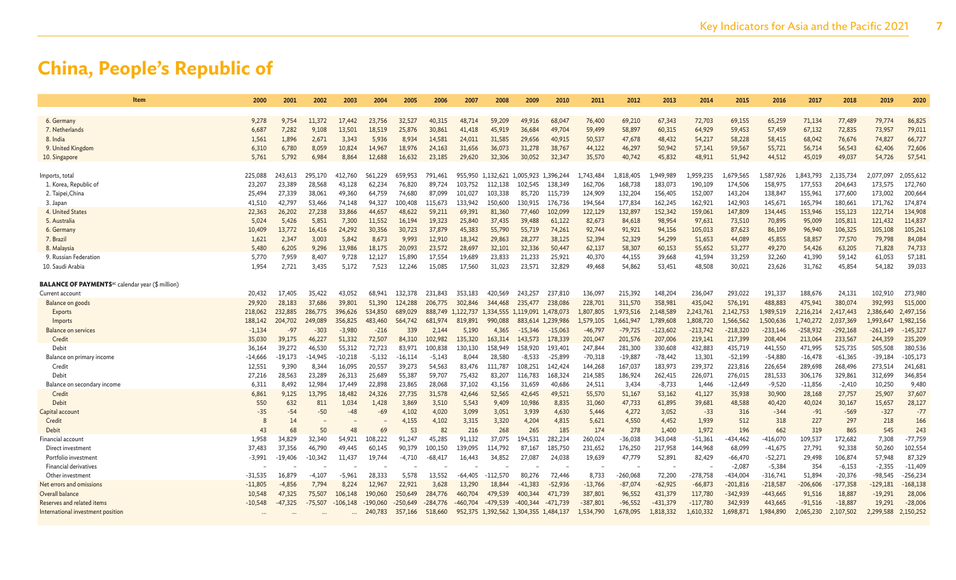| Item                                                                | 2000      | 2001      | 2002      | 2003       | 2004       | 2005       | 2006      | 2007       | 2008       | 2009                                  | 2010                | 2011       | 2012       | 2013       | 2014       | 2015       | 2016       | 2017       | 2018       | 2019       | 2020       |
|---------------------------------------------------------------------|-----------|-----------|-----------|------------|------------|------------|-----------|------------|------------|---------------------------------------|---------------------|------------|------------|------------|------------|------------|------------|------------|------------|------------|------------|
|                                                                     |           |           |           |            |            |            |           |            |            |                                       |                     |            |            |            |            |            |            |            |            |            |            |
| 6. Germany                                                          | 9,278     | 9,754     | 11,372    | 17,442     | 23,756     | 32.527     | 40,315    | 48,71      | 59,209     | 49,916                                | 68,047              | 76,400     | 69,210     | 67,343     | 72,703     | 69,155     | 65,259     | 71,134     | 77,489     | 79,774     | 86,825     |
| 7. Netherlands                                                      | 6,687     | 7,282     | 9,108     | 13,501     | 18,519     | 25,876     | 30,861    | 41,418     | 45,919     | 36,684                                | 49,704              | 59,499     | 58,897     | 60,315     | 64,929     | 59,453     | 57,459     | 67,132     | 72,835     | 73,957     | 79,011     |
| 8. India                                                            | 1,561     | 1,896     | 2,671     | 3,343      | 5,936      | 8,934      | 14,581    | 24,011     | 31,585     | 29,656                                | 40,915              | 50,537     | 47,678     | 48,432     | 54,217     | 58,228     | 58,415     | 68,042     | 76,676     | 74,827     | 66,727     |
| 9. United Kingdom                                                   | 6,310     | 6,780     | 8,059     | 10,824     | 14,967     | 18,976     | 24,163    | 31,656     | 36,073     | 31,278                                | 38,767              | 44,122     | 46,297     | 50,942     | 57,141     | 59,567     | 55,721     | 56,714     | 56,543     | 62,406     | 72,606     |
| 10. Singapore                                                       | 5,761     | 5,792     | 6.984     | 8.864      | 12.688     | 16.632     | 23,185    | 29,620     | 32,306     | 30,052                                | 32,347              | 35,570     | 40.742     | 45,832     | 48,911     | 51,942     | 44,512     | 45,019     | 49,037     | 54,726     | 57,541     |
| Imports, total                                                      | 225,088   | 243,613   | 295,170   | 412,760    | 561,229    | 659,953    | 791,461   | 955,950    | 1.132.621  | 1,005,923                             | 1,396,244           | .,743,484  | L,818,405  | ,949,989   | 1,959,235  | 1,679,565  | 1,587,926  | 1.843.793  | 2,135,734  | 2,077,097  | 2,055,612  |
| 1. Korea, Republic of                                               | 23,207    | 23,389    | 28,568    | 43,128     | 62,234     | 76,820     | 89,724    | 103,752    | 112.138    | 102,545                               | 138,349             | 162,706    | 168,738    | 183,073    | 190,109    | 174,506    | 158,975    | 177,553    | 204,643    | 173,575    | 172,760    |
| 2. Taipei, China                                                    | 25,494    | 27,339    | 38,061    | 49.360     | 64,759     | 74,680     | 87,099    | 101,027    | 103.338    | 85,720                                | 115.739             | 124,909    | 132,204    | 156,405    | 152,007    | 143,204    | 138,847    | 155,961    | 177,600    | 173,002    | 200,664    |
| 3. Japan                                                            | 41,510    | 42.797    | 53,466    | 74.148     | 94,327     | 100,408    | 115,673   | 133.942    | 150.600    | 130,915                               | 176,736             | 194,564    | 177,834    | 162,245    | 162,921    | 142,903    | 145,671    | 165,794    | 180,661    | 171,762    | 174,874    |
| 4. United States                                                    | 22,363    | 26,202    | 27,238    | 33,866     | 44,657     | 48,622     | 59,211    | 69,391     | 81,360     | 77,460                                | 102,099             | 122,129    | 132,897    | 152,342    | 159,061    | 147,809    | 134,445    | 153,946    | 155,123    | 122,714    | 134,908    |
| 5. Australia                                                        | 5,024     | 5,426     | 5,851     | 7,300      | 11,552     | 16,194     | 19,323    | 25,840     | 37,435     | 39,488                                | 61,122              | 82,673     | 84,618     | 98,954     | 97,631     | 73,510     | 70,895     | 95,009     | 105,811    | 121,432    | 114,837    |
| 6. German                                                           | 10,409    | 13,772    | 16,416    | 24,292     | 30,356     | 30,723     | 37,879    | 45,383     | 55,790     | 55,719                                | 74,261              | 92,744     | 91,921     | 94,156     | 105,013    | 87,623     | 86,109     | 96,940     | 106,325    | 105,108    | 105,261    |
| 7. Brazil                                                           | 1,621     | 2,347     | 3.003     | 5.842      | 8,673      | 9.993      | 12,910    | 18,342     | 29,863     | 28,277                                | 38,125              | 52,394     | 52,329     | 54,299     | 51,653     | 44,089     | 45,855     | 58,857     | 77,570     | 79,798     | 84,084     |
| 8. Malaysia                                                         | 5,480     | 6,205     | 9,296     | 13,986     | 18,175     | 20,093     | 23,572    | 28,697     | 32,101     | 32,336                                | 50,447              | 62,137     | 58,307     | 60,153     | 55,652     | 53,277     | 49,270     | 54,426     | 63,205     | 71,828     | 74,733     |
| 9. Russian Federation                                               | 5,770     | 7,959     | 8,407     | 9,728      | 12,127     | 15,890     | 17,554    | 19,689     | 23,833     | 21,233                                | 25,921              | 40,370     | 44,155     | 39,668     | 41,594     | 33,259     | 32,260     | 41,390     | 59,142     | 61,053     | 57,181     |
| 10. Saudi Arabia                                                    | 1,954     | 2,721     | 3,435     | 5,172      | 7,523      | 12,246     | 15,085    | 17,560     | 31,023     | 23,571                                | 32,829              | 49,468     | 54,862     | 53,451     | 48,508     | 30,021     | 23,626     | 31,762     | 45,854     | 54,182     | 39,033     |
| <b>BALANCE OF PAYMENTS</b> <sup>ac</sup> calendar year (\$ million) |           |           |           |            |            |            |           |            |            |                                       |                     |            |            |            |            |            |            |            |            |            |            |
| Current account                                                     | 20,432    | 17.405    | 35,422    | 43.052     | 68.941     | 132,378    | 231,843   | 353,183    | 420,569    | 243,257                               | 237,810             | 136.097    | 215.392    | 148,204    | 236,047    | 293,022    | 191,337    | 188,676    | 24,131     | 102,910    | 273,980    |
| Balance on goods                                                    | 29,920    | 28,183    | 37,686    | 39,801     | 51,390     | 124,288    | 206,775   | 302,846    | 344,468    | 235,477                               | 238,086             | 228,701    | 311,570    | 358,981    | 435,042    | 576,191    | 488,883    | 475,941    | 380,074    | 392,993    | 515,000    |
| <b>Exports</b>                                                      | 218,062   | 232,885   | 286,775   | 396,626    | 534,850    | 689,029    | 888,749   | 1,122,737  | 1,334,555  |                                       | 1,478,073.,119,091. | ,807,805   | .,973,516  | 2,148,589  | 2,243,761  | 2,142,753  | 1,989,519  | 2,216,214  | 2,417,443  | 2,386,640  | 2,497,156  |
| Imports                                                             | 188,142   | 204,702   | 249,089   | 356,825    | 483,460    | 564,742    | 681,974   | 819,891    | 990,088    | 883,614                               | 1,239,986           | 579.105    | .,661,947  | L,789,608  | 1,808,720  | 1,566,562  | 1,500,636  | 1,740,272  | 2,037,369  | 1,993,647  | 1,982,156  |
| Balance on services                                                 | $-1,134$  | -97       | $-303$    | $-3,980$   | $-216$     | 339        | 2.144     | 5.190      | 4,365      | $-15.346$                             | $-15.063$           | $-46,797$  | $-79,725$  | $-123,602$ | $-213,742$ | $-218,320$ | $-233,146$ | $-258,932$ | $-292,168$ | -261,149   | $-145,327$ |
| Credit                                                              | 35,030    | 39,175    | 46.227    | 51.332     | 72,507     | 84,310     | 102.982   | 135,320    | 163,314    | 143,573                               | 178,339             | 201,047    | 201,576    | 207,006    | 219,141    | 217,399    | 208,404    | 213,064    | 233,567    | 244,359    | 235,209    |
| Debit                                                               | 36,164    | 39,272    | 46,530    | 55,312     | 72,723     | 83,971     | 100,838   | 130,130    | 158.949    | 158,920                               | 193,401             | 247,844    | 281,300    | 330,608    | 432,883    | 435,719    | 441,550    | 471,995    | 525,735    | 505,508    | 380,536    |
| Balance on primary income                                           | $-14,666$ | $-19,173$ | -14,945   | $-10,218$  | $-5,132$   | $-16,114$  | $-5,143$  | 8,044      | 28,580     | $-8,533$                              | $-25,899$           | $-70,318$  | $-19,887$  | $-78,442$  | 13,301     | $-52,199$  | $-54,880$  | $-16,478$  | $-61,365$  | $-39,184$  | $-105,173$ |
| Credit                                                              | 12,551    | 9,390     | 8,344     | 16,095     | 20,557     | 39,273     | 54,563    | 83,476     | 111.787    | 108,251                               | 142,424             | 144,268    | 167,037    | 183,973    | 239,372    | 223,816    | 226,654    | 289,698    | 268,496    | 273,514    | 241,681    |
| Debit                                                               | 27,216    | 28,563    | 23,289    | 26.313     | 25,689     | 55,387     | 59,707    | 75,432     | 83,207     | 116,783                               | 168,324             | 214,585    | 186,924    | 262,415    | 226,071    | 276,015    | 281,533    | 306,176    | 329,861    | 312,699    | 346,854    |
| Balance on secondary income                                         | 6,311     | 8,492     | 12,984    | 17.449     | 22,898     | 23,865     | 28,068    | 37,102     | 43,156     | 31,659                                | 40,686              | 24,511     | 3,434      | $-8,733$   | 1,446      | $-12,649$  | $-9,520$   | $-11,856$  | $-2,410$   | 10,250     | 9,480      |
| Credi                                                               | 6,861     | 9.125     | 13.795    | 18,482     | 24,326     | 27.735     | 31,578    | 42,646     | 52,565     | 42,645                                | 49,521              | 55,570     | 51,167     | 53,162     | 41,127     | 35,938     | 30,900     | 28,168     | 27,757     | 25,907     | 37,607     |
| Debit                                                               | 550       | 632       | 811       | 1,034      | 1,428      | 3,869      | 3,510     | 5,543      | 9,409      | 10,986                                | 8,835               | 31,060     | 47,733     | 61,895     | 39,681     | 48,588     | 40,420     | 40,024     | 30,167     | 15,657     | 28,127     |
| Capital account                                                     | $-35$     | $-54$     | $-50$     | -48        | -69        | 4,102      | 4,020     | 3,099      | 3,051      | 3,939                                 | 4,630               | 5,446      | 4,272      | 3,052      | $-33$      | 316        | $-344$     | $-91$      | $-569$     | $-327$     | $-77$      |
| Credit                                                              |           | 14        |           |            |            | 4,155      | 4,102     | 3,315      | 3,320      | 4,204                                 | 4,815               | 5,621      | 4,550      | 4,452      | 1,939      | 512        | 318        | 227        | 297        | 218        | 166        |
| Debit                                                               | 43        | 68        | 50        | 48         | 69         | 53         | 82        | 216        | 268        | 265                                   | 185                 | 174        | 278        | 1,400      | 1,972      | 196        | 662        | 319        | 865        | 545        | 243        |
| Financial account                                                   | 1.958     | 34,829    | 32.340    | 54,921     | 108.222    | 91.247     | 45,285    | 91.132     | 37,075     | 194.531                               | 282.234             | 260,024    | $-36,038$  | 343,048    | $-51,361$  | $-434.462$ | $-416,070$ | 109,537    | 172,682    | 7,308      | $-77,759$  |
| Direct investment                                                   | 37,483    | 37,356    | 46,790    | 49.445     | 60,145     | 90.379     | 100,150   | 139,095    | 114,792    | 87,167                                | 185,750             | 231,652    | 176,250    | 217,958    | 144,968    | 68,099     | $-41,675$  | 27,791     | 92,338     | 50,260     | 102,554    |
| Portfolio investment                                                | $-3,991$  | $-19,406$ | $-10,342$ | 11,437     | 19,744     | $-4,710$   | $-68,417$ | 16,443     | 34,852     | 27,087                                | 24,038              | 19,639     | 47,779     | 52,891     | 82,429     | $-66,470$  | $-52,271$  | 29,498     | 106,874    | 57,948     | 87,329     |
| Financial derivatives                                               |           |           |           |            |            |            |           |            |            |                                       |                     |            |            |            |            | $-2,087$   | $-5,384$   | 354        | $-6,153$   | $-2,355$   | $-11,409$  |
| Other investment                                                    | $-31,535$ | 16,879    | $-4.107$  | $-5.961$   | 28.333     | 5.578      | 13.552    | -64.405    | $-112.570$ | 80.276                                | 72,446              | 8,733      | $-260,068$ | 72,200     | $-278,758$ | $-434.004$ | $-316,741$ | 51,894     | $-20,376$  | $-98,545$  | $-256,234$ |
| Net errors and omissions                                            | $-11,805$ | $-4.856$  | 7.794     | 8.224      | 12,967     | 22,921     | 3,628     | 13,290     | 18,844     | $-41,383$                             | $-52,936$           | $-13,766$  | $-87,074$  | $-62,925$  | $-66,873$  | $-201,816$ | $-218,587$ | $-206,606$ | $-177,358$ | $-129,181$ | $-168,138$ |
| Overall balance                                                     | 10,548    | 47,325    | 75,507    | 106,148    | 190,060    | 250,649    | 284,776   | 460,704    | 479,539    | 400,344                               | 471,739             | 387,801    | 96,552     | 431,379    | 117,780    | $-342,939$ | $-443,665$ | 91,516     | 18,887     | $-19,291$  | 28,006     |
| Reserves and related items                                          | $-10,548$ | -47,325   | -75,507   | $-106,148$ | $-190.060$ | $-250.649$ | -284.776  | $-460,704$ | $-479,539$ | -400.344                              | -471.739            | $-387,801$ | $-96,552$  | -431,379   | $-117,780$ | 342,939    | 443,665    | $-91,516$  | $-18,887$  | 19,291     | $-28,006$  |
| International investment position                                   |           |           |           |            | 240,783    | 357,166    | 518,660   |            |            | 952,375 1,392,562 1,304,355 1,484,137 |                     | 1,534,790  | .,678,095  | 1,818,332  | 1,610,332  | 1,698,871  | 1,984,890  | 2,065,230  | 2,107,502  | 2,299,588  | 2,150,252  |
|                                                                     |           |           |           |            |            |            |           |            |            |                                       |                     |            |            |            |            |            |            |            |            |            |            |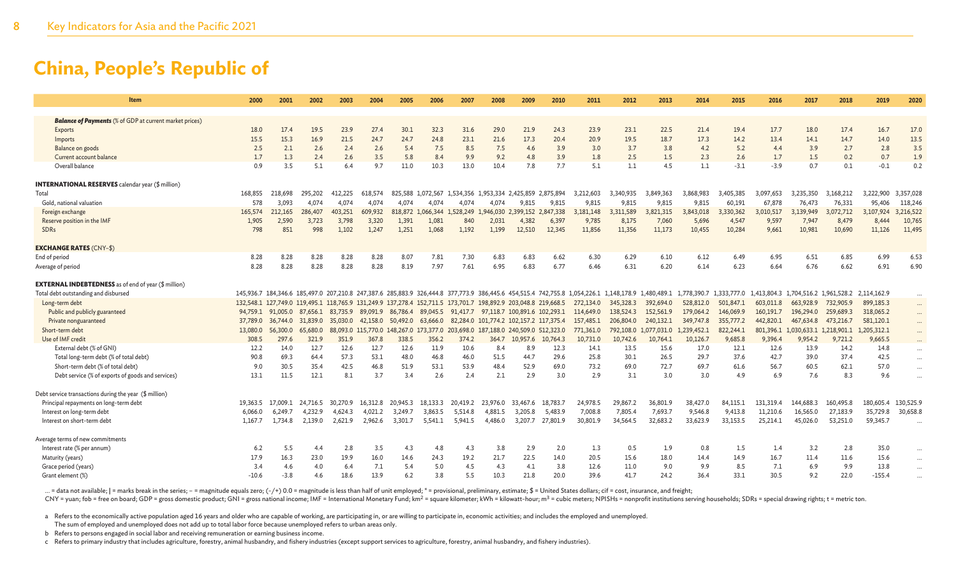| Item                                                                      | 2000     | 2001              | 2002     | 2003                                                                                                          | 2004     | 2005                         | 2006      | 2007                                              | 2008                                   | 2009     | 2010     | 2011      | 2012                                                                                                                                              | 2013                  | 2014        | 2015        | 2016      | 2017                                            | 2018      | 2019        | 2020      |
|---------------------------------------------------------------------------|----------|-------------------|----------|---------------------------------------------------------------------------------------------------------------|----------|------------------------------|-----------|---------------------------------------------------|----------------------------------------|----------|----------|-----------|---------------------------------------------------------------------------------------------------------------------------------------------------|-----------------------|-------------|-------------|-----------|-------------------------------------------------|-----------|-------------|-----------|
|                                                                           |          |                   |          |                                                                                                               |          |                              |           |                                                   |                                        |          |          |           |                                                                                                                                                   |                       |             |             |           |                                                 |           |             |           |
| <b>Balance of Payments</b> (% of GDP at current market prices)<br>Exports | 18.0     | 17.4              | 19.5     | 23.9                                                                                                          | 27.4     | 30.1                         | 32.3      | 31.6                                              | 29.0                                   | 21.9     | 24.3     | 23.9      | 23.1                                                                                                                                              | 22.5                  | 21.4        | 19.4        | 17.7      | 18.0                                            | 17.4      | 16.7        | 17.0      |
| Imports                                                                   | 15.5     | 15.3              | 16.9     | 21.5                                                                                                          | 24.7     | 24.7                         | 24.8      | 23.1                                              | 21.6                                   | 17.3     | 20.4     | 20.9      | 19.5                                                                                                                                              | 18.7                  | 17.3        | 14.2        | 13.4      | 14.1                                            | 14.7      | 14.0        | 13.5      |
| Balance on goods                                                          | 2.5      | 2.1               | 2.6      | 2.4                                                                                                           | 2.6      | 5.4                          | 7.5       | 8.5                                               | 7.5                                    | 4.6      | 3.9      | 3.0       | 3.7                                                                                                                                               | 3.8                   | 4.2         | 5.2         | 4.4       | 3.9                                             | 2.7       | 2.8         | 3.5       |
| Current account balance                                                   | 1.7      | 1.3               | 2.4      | 2.6                                                                                                           | 3.5      | 5.8                          | 8.4       | 9.9                                               | 9.2                                    | 4.8      | 3.9      | 1.8       | 2.5                                                                                                                                               | 1.5                   | 2.3         | 2.6         | 1.7       | 1.5                                             | 0.2       | 0.7         | 1.9       |
| Overall balance                                                           | 0.9      | 3.5               | 5.1      | 6.4                                                                                                           | 9.7      | 11.0                         | 10.3      | 13.0                                              | 10.4                                   | 7.8      | 7.7      | 5.1       | 1.1                                                                                                                                               | 4.5                   | 1.1         | $-3.1$      | $-3.9$    | 0.7                                             | 0.1       | $-0.1$      | 0.2       |
| <b>INTERNATIONAL RESERVES</b> calendar year (\$ million)                  |          |                   |          |                                                                                                               |          |                              |           |                                                   |                                        |          |          |           |                                                                                                                                                   |                       |             |             |           |                                                 |           |             |           |
| Total                                                                     | 168,855  | 218,698           | 295.202  | 412,225                                                                                                       | 618.574  | 825.588                      | 1.072.567 | 1.534.356 1.953.334 2.425.859 2.875.894           |                                        |          |          | 3.212.603 | 3.340,935                                                                                                                                         | 3.849.363             | 3.868.983   | 3.405.385   | 3.097.653 | 3.235.350                                       | 3.168.212 | 3,222,900   | 3,357,028 |
| Gold, national valuation                                                  | 578      | 3.093             | 4.074    | 4.074                                                                                                         | 4.074    | 4.074                        | 4.074     | 4.074                                             | 4.074                                  | 9,815    | 9,815    | 9,815     | 9,815                                                                                                                                             | 9,815                 | 9,815       | 60,191      | 67,878    | 76,473                                          | 76,331    | 95,406      | 118,246   |
| Foreign exchange                                                          | 165,574  | 212,165           | 286,407  | 403,251                                                                                                       | 609,932  | 818,872                      | 1.066.344 | 1.528.249                                         | 1,946,030 2,399,152 2,847,338          |          |          | 3,181,148 | 3,311,589                                                                                                                                         | 3,821,315             | 3,843,018   | 3,330,362   | 3,010,517 | 3,139,949                                       | 3,072,712 | 3,107,924   | 3,216,522 |
| Reserve position in the IMF                                               | 1,905    | 2,590             | 3,723    | 3,798                                                                                                         | 3,320    | 1,391                        | 1,081     | 840                                               | 2,031                                  | 4,382    | 6,397    | 9,785     | 8,175                                                                                                                                             | 7,060                 | 5,696       | 4,547       | 9,597     | 7,947                                           | 8,479     | 8,444       | 10,765    |
| <b>SDRs</b>                                                               | 798      | 851               | 998      | 1.102                                                                                                         | 1.247    | 1,251                        | 1,068     | 1,192                                             | 1,199                                  | 12,510   | 12.345   | 11,856    | 11,356                                                                                                                                            | 11,173                | 10,455      | 10,284      | 9,661     | 10,981                                          | 10,690    | 11,126      | 11,495    |
| <b>EXCHANGE RATES (CNY-\$)</b>                                            |          |                   |          |                                                                                                               |          |                              |           |                                                   |                                        |          |          |           |                                                                                                                                                   |                       |             |             |           |                                                 |           |             |           |
| End of period                                                             | 8.28     | 8.28              | 8.28     | 8.28                                                                                                          | 8.28     | 8.07                         | 7.81      | 7.30                                              | 6.83                                   | 6.83     | 6.62     | 6.30      | 6.29                                                                                                                                              | 6.10                  | 6.12        | 6.49        | 6.95      | 6.51                                            | 6.85      | 6.99        | 6.53      |
| Average of period                                                         | 8.28     | 8.28              | 8.28     | 8.28                                                                                                          | 8.28     | 8.19                         | 7.97      | 7.61                                              | 6.95                                   | 6.83     | 6.77     | 6.46      | 6.31                                                                                                                                              | 6.20                  | 6.14        | 6.23        | 6.64      | 6.76                                            | 6.62      | 6.91        | 6.90      |
| <b>EXTERNAL INDEBTEDNESS</b> as of end of year (\$ million)               |          |                   |          |                                                                                                               |          |                              |           |                                                   |                                        |          |          |           |                                                                                                                                                   |                       |             |             |           |                                                 |           |             |           |
| Total debt outstanding and disbursed                                      |          |                   |          |                                                                                                               |          |                              |           |                                                   |                                        |          |          |           | 145,936.7 184,346.6 185,497.0 207,210.8 247,387.6 285,883.9 326,444.8 377,773.9 386,445.6 454,515.4 742,755.8 1,054,226.1 1,148,178.9 1,480,489.1 |                       | 1,778,390.7 | 1.333,777.0 |           | 1,413,804.3 1,704,516.2 1,961,528.2 2,114,162.9 |           |             | $\ddots$  |
| Long-term debt                                                            |          |                   |          | 132,548.1 127,749.0 119,495.1 118,765.9 131,249.9 137,278.4 152,711.5 173,701.7 198,892.9 203,048.8 219,668.5 |          |                              |           |                                                   |                                        |          |          | 272,134.0 | 345,328.3                                                                                                                                         | 392,694.0             | 528,812.0   | 501,847.1   | 603,011.8 | 663,928.9                                       | 732,905.9 | 899,185.3   | $\cdots$  |
| Public and publicly guaranteed                                            |          | 94,759.1 91,005.0 | 87,656.1 | 83,735.9                                                                                                      | 89,091.9 | 86,786.4                     |           | 89,045.5 91,417.7 97,118.7 100,891.6 102,293.1    |                                        |          |          | 114,649.0 | 138,524.3                                                                                                                                         | 152,561.9             | 179,064.2   | 146,069.9   | 160,191.7 | 196,294.0                                       | 259,689.3 | 318,065.2   | $\cdots$  |
| Private nonguaranteed                                                     | 37,789.0 | 36,744.0          | 31,839.0 | 35,030.0                                                                                                      | 42.158.0 | 50,492.0                     | 63,666.0  |                                                   | 82,284.0 101,774.2 102,157.2 117,375.4 |          |          | 157,485.1 | 206,804.0                                                                                                                                         | 240,132.1             | 349,747.8   | 355,777.2   | 442,820.1 | 467,634.8                                       | 473,216.7 | 581,120.1   | $\cdots$  |
| Short-term debt                                                           | 13,080.0 | 56,300.0          | 65,680.0 |                                                                                                               |          | 88,093.0 115,770.0 148,267.0 |           | 173,377.0 203,698.0 187,188.0 240,509.0 512,323.0 |                                        |          |          | 771,361.0 |                                                                                                                                                   | 792,108.0 1,077,031.0 | 1.239.452.1 | 822,244.1   |           | 801,396.1 1,030,633.1 1,218,901.1               |           | 1,205,312.1 | $\ddots$  |
| Use of IMF credit                                                         | 308.5    | 297.6             | 321.9    | 351.9                                                                                                         | 367.8    | 338.5                        | 356.2     | 374.2                                             | 364.7                                  | 10,957.6 | 10,764.3 | 10,731.0  | 10,742.6                                                                                                                                          | 10,764.1              | 10,126.7    | 9,685.8     | 9,396.4   | 9,954.2                                         | 9,721.2   | 9,665.5     |           |
| External debt (% of GNI)                                                  | 12.2     | 14.0              | 12.7     | 12.6                                                                                                          | 12.7     | 12.6                         | 11.9      | 10.6                                              | 8.4                                    | 8.9      | 12.3     | 14.1      | 13.5                                                                                                                                              | 15.6                  | 17.0        | 12.1        | 12.6      | 13.9                                            | 14.2      | 14.8        | $\cdots$  |
| Total long-term debt (% of total debt)                                    | 90.8     | 69.3              | 64.4     | 57.3                                                                                                          | 53.1     | 48.0                         | 46.8      | 46.0                                              | 51.5                                   | 44.7     | 29.6     | 25.8      | 30.1                                                                                                                                              | 26.5                  | 29.7        | 37.6        | 42.7      | 39.0                                            | 37.4      | 42.5        | $\ddotsc$ |
| Short-term debt (% of total debt)                                         | 9.0      | 30.5              | 35.4     | 42.5                                                                                                          | 46.8     | 51.9                         | 53.1      | 53.9                                              | 48.4                                   | 52.9     | 69.0     | 73.2      | 69.0                                                                                                                                              | 72.7                  | 69.7        | 61.6        | 56.7      | 60.5                                            | 62.1      | 57.0        | $\cdots$  |
| Debt service (% of exports of goods and services)                         | 13.1     | 11.5              | 12.1     | 8.1                                                                                                           | 3.7      | 3.4                          | 2.6       | 2.4                                               | 2.1                                    | 2.9      | 3.0      | 2.9       | 3.1                                                                                                                                               | 3.0                   | 3.0         | 4.9         | 6.9       | 7.6                                             | 8.3       | 9.6         | $\ddots$  |
| Debt service transactions during the year (\$ million)                    |          |                   |          |                                                                                                               |          |                              |           |                                                   |                                        |          |          |           |                                                                                                                                                   |                       |             |             |           |                                                 |           |             |           |
| Principal repayments on long-term debt                                    | 19.363.5 | 17.009.1          | 24.716.5 | 30.270.9                                                                                                      | 16.312.8 | 20.945.3                     | 18.133.3  | 20.419.2                                          | 23.976.0                               | 33.467.6 | 18.783.7 | 24,978.5  | 29.867.2                                                                                                                                          | 36,801.9              | 38,427.0    | 84.115.1    | 131,319.4 | 144,688.3                                       | 160,495.8 | 180,605.4   | 130,525.9 |
| Interest on long-term debt                                                | 6,066.0  | 6.249.7           | 4.232.9  | 4,624.3                                                                                                       | 4,021.2  | 3,249.7                      | 3,863.5   | 5,514.8                                           | 4,881.5                                | 3,205.8  | 5,483.9  | 7,008.8   | 7,805.4                                                                                                                                           | 7,693.7               | 9,546.8     | 9,413.8     | 11,210.6  | 16,565.0                                        | 27,183.9  | 35,729.8    | 30,658.8  |
| Interest on short-term debt                                               | 1.167.7  | 1.734.8           | 2,139.0  | 2,621.9                                                                                                       | 2,962.6  | 3,301.7                      | 5,541.1   | 5.941.5                                           | 4,486.0                                | 3,207.7  | 27,801.9 | 30,801.9  | 34,564.5                                                                                                                                          | 32,683.2              | 33,623.9    | 33,153.5    | 25,214.1  | 45,026.0                                        | 53,251.0  | 59,345.7    | $\ddots$  |
| Average terms of new commitments                                          |          |                   |          |                                                                                                               |          |                              |           |                                                   |                                        |          |          |           |                                                                                                                                                   |                       |             |             |           |                                                 |           |             |           |
| Interest rate (% per annum)                                               | 6.2      | 5.5               | 4.4      | 2.8                                                                                                           | 3.5      | 4.3                          | 4.8       | 4.3                                               | 3.8                                    | 2.9      | 2.0      | 1.3       | 0.5                                                                                                                                               | 1.9                   | 0.8         | 1.5         | 1.4       | 3.2                                             | 2.8       | 35.0        | $\ddots$  |
| Maturity (years)                                                          | 17.9     | 16.3              | 23.0     | 19.9                                                                                                          | 16.0     | 14.6                         | 24.3      | 19.2                                              | 21.7                                   | 22.5     | 14.0     | 20.5      | 15.6                                                                                                                                              | 18.0                  | 14.4        | 14.9        | 16.7      | 11.4                                            | 11.6      | 15.6        | $\cdots$  |
| Grace period (years)                                                      | 3.4      | 4.6               | 4.0      | 6.4                                                                                                           | 7.1      | 5.4                          | 5.0       | 4.5                                               | 4.3                                    | 4.1      | 3.8      | 12.6      | 11.0                                                                                                                                              | 9.0                   | 9.9         | 8.5         | 7.1       | 6.9                                             | 9.9       | 13.8        | $\ddots$  |
| Grant element (%)                                                         | $-10.6$  | $-3.8$            | 4.6      | 18.6                                                                                                          | 13.9     | 6.2                          | 3.8       | 5.5                                               | 10.3                                   | 21.8     | 20.0     | 39.6      | 41.7                                                                                                                                              | 24.2                  | 36.4        | 33.1        | 30.5      | 9.2                                             | 22.0      | $-155.4$    |           |

... = data not available; | = marks break in the series; - = magnitude equals zero; (-/+) 0.0 = magnitude is less than half of unit employed; \* = provisional, preliminary, estimate; \$ = United States dollars; cif = cost, i

CNY = yuan; fob = free on board; GDP = gross domestic product; GNI = gross national income; IMF = International Monetary Fund; km<sup>2</sup> = square kilometer; kWh = kilowatt-hour; m<sup>3</sup> = cubic meters; NPISHs = nonprofit institut

a Refers to the economically active population aged 16 years and older who are capable of working, are participating in, or are willing to participate in, economic activities; and includes the employed and unemployed.

The sum of employed and unemployed does not add up to total labor force because unemployed refers to urban areas only.

b Refers to persons engaged in social labor and receiving remuneration or earning business income.

c Refers to primary industry that includes agriculture, forestry, animal husbandry, and fishery industries (except support services to agriculture, forestry, animal husbandry, and fishery industries).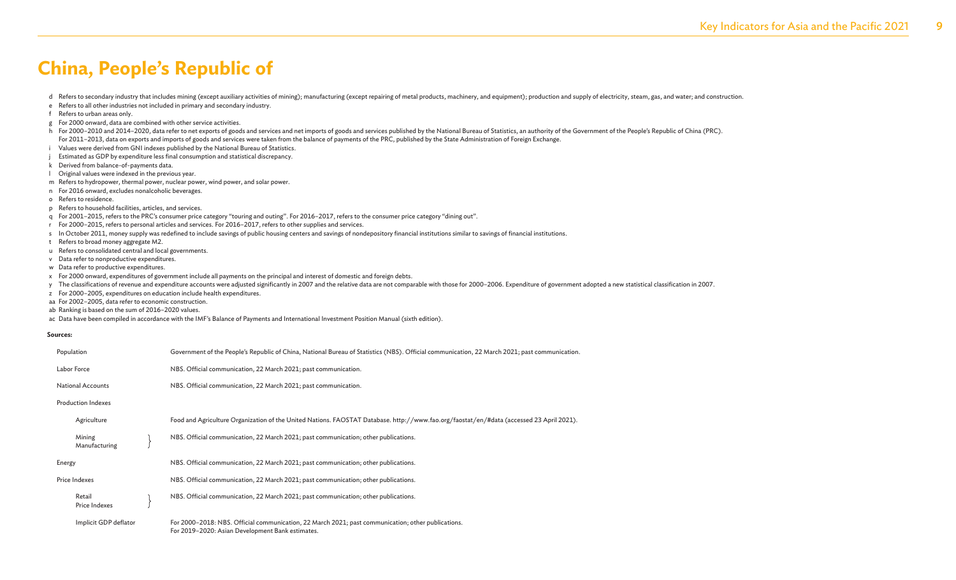d Refers to secondary industry that includes mining (except auxiliary activities of mining); manufacturing (except repairing of metal products, machinery, and equipment); production and supply of electricity, steam, gas, a

- e Refers to all other industries not included in primary and secondary industry.
- f Refers to urban areas only.
- g For 2000 onward, data are combined with other service activities.
- h For 2000-2010 and 2014-2020, data refer to net exports of goods and services and net imports of goods and services published by the National Bureau of Statistics, an authority of the Government of the People's Republic o For 2011–2013, data on exports and imports of goods and services were taken from the balance of payments of the PRC, published by the State Administration of Foreign Exchange.
- i Values were derived from GNI indexes published by the National Bureau of Statistics.
- Estimated as GDP by expenditure less final consumption and statistical discrepancy.
- k Derived from balance-of-payments data.
- Original values were indexed in the previous year.
- m Refers to hydropower, thermal power, nuclear power, wind power, and solar power.
- n For 2016 onward, excludes nonalcoholic beverages.
- o Refers to residence.
- p Refers to household facilities, articles, and services.
- q For 2001–2015, refers to the PRC's consumer price category "touring and outing". For 2016–2017, refers to the consumer price category "dining out".
- r For 2000–2015, refers to personal articles and services. For 2016–2017, refers to other supplies and services.
- s In October 2011, money supply was redefined to include savings of public housing centers and savings of nondepository financial institutions similar to savings of financial institutions.
- t Refers to broad money aggregate M2.
- u Refers to consolidated central and local governments.
- v Data refer to nonproductive expenditures.
- w Data refer to productive expenditures.
- x For 2000 onward, expenditures of government include all payments on the principal and interest of domestic and foreign debts.
- y The classifications of revenue and expenditure accounts were adjusted significantly in 2007 and the relative data are not comparable with those for 2000-2006. Expenditure of government adopted a new statistical classific
- z For 2000–2005, expenditures on education include health expenditures.
- aa For 2002–2005, data refer to economic construction.
- ab Ranking is based on the sum of 2016–2020 values.
- ac Data have been compiled in accordance with the IMF's Balance of Payments and International Investment Position Manual (sixth edition).

#### **Sources:**

| Population                | Government of the People's Republic of China, National Bureau of Statistics (NBS). Official communication, 22 March 2021; past communication.          |
|---------------------------|--------------------------------------------------------------------------------------------------------------------------------------------------------|
| Labor Force               | NBS. Official communication, 22 March 2021; past communication.                                                                                        |
| <b>National Accounts</b>  | NBS. Official communication, 22 March 2021; past communication.                                                                                        |
| <b>Production Indexes</b> |                                                                                                                                                        |
| Agriculture               | Food and Agriculture Organization of the United Nations. FAOSTAT Database. http://www.fao.org/faostat/en/#data (accessed 23 April 2021).               |
| Mining<br>Manufacturing   | NBS. Official communication, 22 March 2021; past communication; other publications.                                                                    |
| Energy                    | NBS. Official communication, 22 March 2021; past communication; other publications.                                                                    |
| Price Indexes             | NBS. Official communication, 22 March 2021; past communication; other publications.                                                                    |
| Retail<br>Price Indexes   | NBS. Official communication, 22 March 2021; past communication; other publications.                                                                    |
| Implicit GDP deflator     | For 2000-2018: NBS. Official communication, 22 March 2021; past communication; other publications.<br>For 2019-2020: Asian Development Bank estimates. |